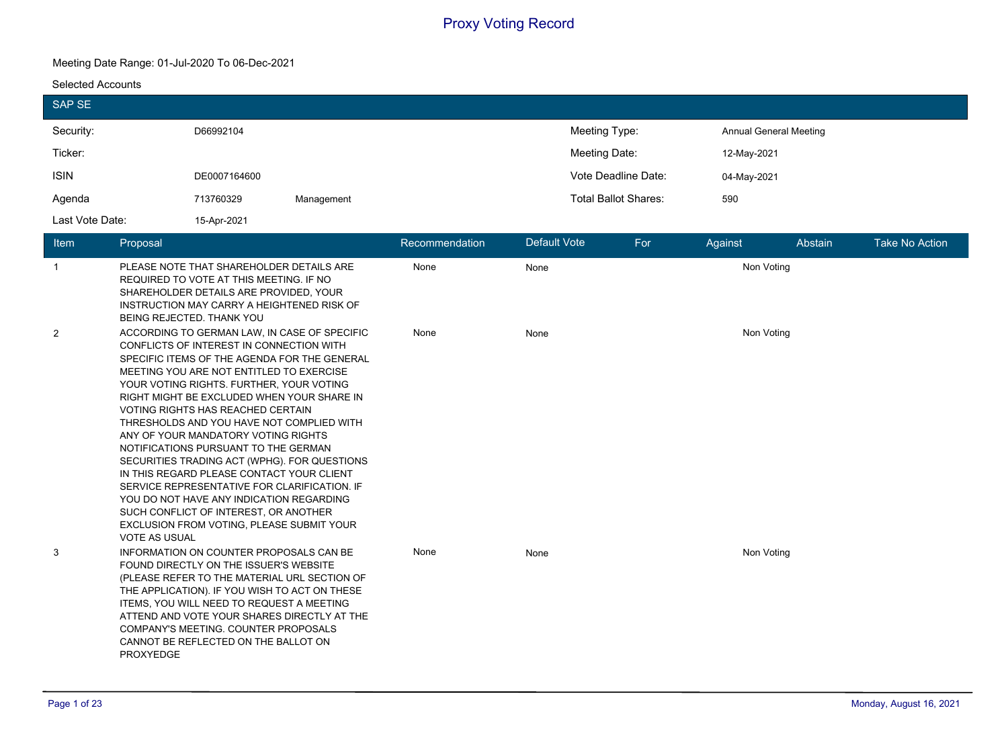#### **Meeting Date Range: 01-Jul-2020 To 06-Dec-2021**

#### **Selected Accounts**

| <b>SAP SE</b>        |                                                                                                                                                                                                          |                                                                                                                                                                                                                                                                                                                                                                                                                                                                                                                                                                                                                                                                                                                                |            |                |              |                                |            |             |                               |                       |
|----------------------|----------------------------------------------------------------------------------------------------------------------------------------------------------------------------------------------------------|--------------------------------------------------------------------------------------------------------------------------------------------------------------------------------------------------------------------------------------------------------------------------------------------------------------------------------------------------------------------------------------------------------------------------------------------------------------------------------------------------------------------------------------------------------------------------------------------------------------------------------------------------------------------------------------------------------------------------------|------------|----------------|--------------|--------------------------------|------------|-------------|-------------------------------|-----------------------|
| Security:<br>Ticker: |                                                                                                                                                                                                          | D66992104                                                                                                                                                                                                                                                                                                                                                                                                                                                                                                                                                                                                                                                                                                                      |            |                |              | Meeting Type:<br>Meeting Date: |            | 12-May-2021 | <b>Annual General Meeting</b> |                       |
| <b>ISIN</b>          |                                                                                                                                                                                                          | DE0007164600                                                                                                                                                                                                                                                                                                                                                                                                                                                                                                                                                                                                                                                                                                                   |            |                |              | Vote Deadline Date:            |            | 04-May-2021 |                               |                       |
| Agenda               |                                                                                                                                                                                                          | 713760329                                                                                                                                                                                                                                                                                                                                                                                                                                                                                                                                                                                                                                                                                                                      | Management |                |              | <b>Total Ballot Shares:</b>    |            | 590         |                               |                       |
| Last Vote Date:      |                                                                                                                                                                                                          | 15-Apr-2021                                                                                                                                                                                                                                                                                                                                                                                                                                                                                                                                                                                                                                                                                                                    |            |                |              |                                |            |             |                               |                       |
| Item                 | Proposal                                                                                                                                                                                                 |                                                                                                                                                                                                                                                                                                                                                                                                                                                                                                                                                                                                                                                                                                                                |            | Recommendation | Default Vote |                                | For        | Against     | Abstain                       | <b>Take No Action</b> |
| $\mathbf{1}$         | PLEASE NOTE THAT SHAREHOLDER DETAILS ARE<br>REQUIRED TO VOTE AT THIS MEETING. IF NO<br>SHAREHOLDER DETAILS ARE PROVIDED, YOUR<br>INSTRUCTION MAY CARRY A HEIGHTENED RISK OF<br>BEING REJECTED. THANK YOU |                                                                                                                                                                                                                                                                                                                                                                                                                                                                                                                                                                                                                                                                                                                                | None       | None           |              |                                | Non Voting |             |                               |                       |
| $\overline{2}$       | VOTE AS USUAL                                                                                                                                                                                            | ACCORDING TO GERMAN LAW, IN CASE OF SPECIFIC<br>CONFLICTS OF INTEREST IN CONNECTION WITH<br>SPECIFIC ITEMS OF THE AGENDA FOR THE GENERAL<br>MEETING YOU ARE NOT ENTITLED TO EXERCISE<br>YOUR VOTING RIGHTS. FURTHER, YOUR VOTING<br>RIGHT MIGHT BE EXCLUDED WHEN YOUR SHARE IN<br>VOTING RIGHTS HAS REACHED CERTAIN<br>THRESHOLDS AND YOU HAVE NOT COMPLIED WITH<br>ANY OF YOUR MANDATORY VOTING RIGHTS<br>NOTIFICATIONS PURSUANT TO THE GERMAN<br>SECURITIES TRADING ACT (WPHG). FOR QUESTIONS<br>IN THIS REGARD PLEASE CONTACT YOUR CLIENT<br>SERVICE REPRESENTATIVE FOR CLARIFICATION. IF<br>YOU DO NOT HAVE ANY INDICATION REGARDING<br>SUCH CONFLICT OF INTEREST, OR ANOTHER<br>EXCLUSION FROM VOTING, PLEASE SUBMIT YOUR |            | None           | None         |                                |            | Non Voting  |                               |                       |
| 3                    | <b>PROXYEDGE</b>                                                                                                                                                                                         | INFORMATION ON COUNTER PROPOSALS CAN BE<br>FOUND DIRECTLY ON THE ISSUER'S WEBSITE<br>(PLEASE REFER TO THE MATERIAL URL SECTION OF<br>THE APPLICATION). IF YOU WISH TO ACT ON THESE<br>ITEMS, YOU WILL NEED TO REQUEST A MEETING<br>ATTEND AND VOTE YOUR SHARES DIRECTLY AT THE<br>COMPANY'S MEETING. COUNTER PROPOSALS<br>CANNOT BE REFLECTED ON THE BALLOT ON                                                                                                                                                                                                                                                                                                                                                                 |            | None           | None         |                                |            | Non Voting  |                               |                       |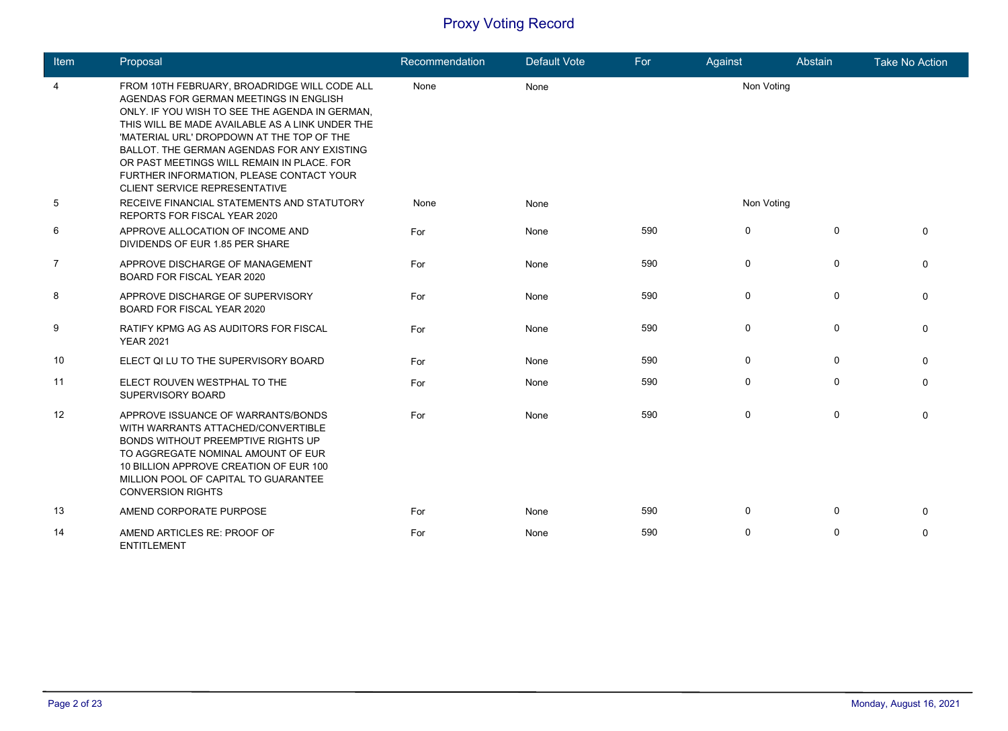| Item           | Proposal                                                                                                                                                                                                                                                                                                                                                                                                                  | Recommendation | <b>Default Vote</b> | For | Against     | Abstain      | <b>Take No Action</b> |
|----------------|---------------------------------------------------------------------------------------------------------------------------------------------------------------------------------------------------------------------------------------------------------------------------------------------------------------------------------------------------------------------------------------------------------------------------|----------------|---------------------|-----|-------------|--------------|-----------------------|
| 4              | FROM 10TH FEBRUARY, BROADRIDGE WILL CODE ALL<br>AGENDAS FOR GERMAN MEETINGS IN ENGLISH<br>ONLY. IF YOU WISH TO SEE THE AGENDA IN GERMAN,<br>THIS WILL BE MADE AVAILABLE AS A LINK UNDER THE<br>'MATERIAL URL' DROPDOWN AT THE TOP OF THE<br>BALLOT. THE GERMAN AGENDAS FOR ANY EXISTING<br>OR PAST MEETINGS WILL REMAIN IN PLACE. FOR<br>FURTHER INFORMATION, PLEASE CONTACT YOUR<br><b>CLIENT SERVICE REPRESENTATIVE</b> | None           | None                |     | Non Voting  |              |                       |
| 5              | RECEIVE FINANCIAL STATEMENTS AND STATUTORY<br>REPORTS FOR FISCAL YEAR 2020                                                                                                                                                                                                                                                                                                                                                | None           | None                |     | Non Voting  |              |                       |
| 6              | APPROVE ALLOCATION OF INCOME AND<br>DIVIDENDS OF EUR 1.85 PER SHARE                                                                                                                                                                                                                                                                                                                                                       | For            | None                | 590 | $\mathbf 0$ | $\mathbf{0}$ | 0                     |
| $\overline{7}$ | APPROVE DISCHARGE OF MANAGEMENT<br><b>BOARD FOR FISCAL YEAR 2020</b>                                                                                                                                                                                                                                                                                                                                                      | For            | None                | 590 | $\mathbf 0$ | $\mathbf{0}$ | 0                     |
| 8              | APPROVE DISCHARGE OF SUPERVISORY<br>BOARD FOR FISCAL YEAR 2020                                                                                                                                                                                                                                                                                                                                                            | For            | None                | 590 | $\mathbf 0$ | $\mathbf{0}$ | 0                     |
| 9              | RATIFY KPMG AG AS AUDITORS FOR FISCAL<br><b>YEAR 2021</b>                                                                                                                                                                                                                                                                                                                                                                 | For            | None                | 590 | $\mathbf 0$ | $\Omega$     | 0                     |
| 10             | ELECT QI LU TO THE SUPERVISORY BOARD                                                                                                                                                                                                                                                                                                                                                                                      | For            | None                | 590 | $\mathbf 0$ | $\Omega$     | 0                     |
| 11             | ELECT ROUVEN WESTPHAL TO THE<br>SUPERVISORY BOARD                                                                                                                                                                                                                                                                                                                                                                         | For            | None                | 590 | 0           | $\Omega$     | 0                     |
| 12             | APPROVE ISSUANCE OF WARRANTS/BONDS<br>WITH WARRANTS ATTACHED/CONVERTIBLE<br>BONDS WITHOUT PREEMPTIVE RIGHTS UP<br>TO AGGREGATE NOMINAL AMOUNT OF EUR<br>10 BILLION APPROVE CREATION OF EUR 100<br>MILLION POOL OF CAPITAL TO GUARANTEE<br><b>CONVERSION RIGHTS</b>                                                                                                                                                        | For            | None                | 590 | $\mathbf 0$ | $\Omega$     | 0                     |
| 13             | AMEND CORPORATE PURPOSE                                                                                                                                                                                                                                                                                                                                                                                                   | For            | None                | 590 | $\mathbf 0$ | $\Omega$     | 0                     |
| 14             | AMEND ARTICLES RE: PROOF OF<br><b>ENTITLEMENT</b>                                                                                                                                                                                                                                                                                                                                                                         | For            | None                | 590 | $\mathbf 0$ | $\Omega$     | 0                     |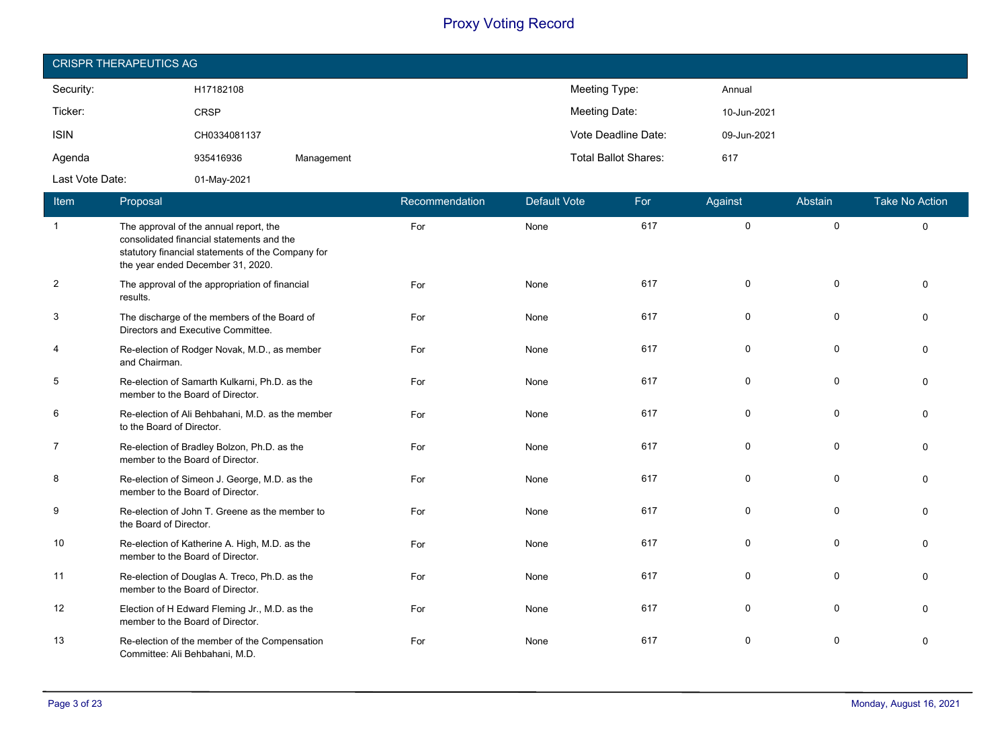| <b>CRISPR THERAPEUTICS AG</b> |              |            |                             |             |  |  |  |  |
|-------------------------------|--------------|------------|-----------------------------|-------------|--|--|--|--|
| Security:                     | H17182108    |            | Meeting Type:               | Annual      |  |  |  |  |
| Ticker:                       | <b>CRSP</b>  |            | Meeting Date:               | 10-Jun-2021 |  |  |  |  |
| <b>ISIN</b>                   | CH0334081137 |            | Vote Deadline Date:         | 09-Jun-2021 |  |  |  |  |
| Agenda                        | 935416936    | Management | <b>Total Ballot Shares:</b> | 617         |  |  |  |  |
| Last Vote Date:               | 01-May-2021  |            |                             |             |  |  |  |  |

| Item           | Proposal                                                                                                                                                                      | Recommendation | <b>Default Vote</b> | For | Against | Abstain      | <b>Take No Action</b> |
|----------------|-------------------------------------------------------------------------------------------------------------------------------------------------------------------------------|----------------|---------------------|-----|---------|--------------|-----------------------|
| $\overline{1}$ | The approval of the annual report, the<br>consolidated financial statements and the<br>statutory financial statements of the Company for<br>the year ended December 31, 2020. | For            | None                | 617 | 0       | $\mathbf 0$  | $\Omega$              |
| $\overline{2}$ | The approval of the appropriation of financial<br>results.                                                                                                                    | For            | None                | 617 | 0       | $\mathbf{0}$ | $\Omega$              |
| 3              | The discharge of the members of the Board of<br>Directors and Executive Committee.                                                                                            | For            | None                | 617 | 0       | $\Omega$     | $\Omega$              |
| 4              | Re-election of Rodger Novak, M.D., as member<br>and Chairman.                                                                                                                 | For            | None                | 617 | 0       | $\mathbf 0$  | $\Omega$              |
| 5              | Re-election of Samarth Kulkarni, Ph.D. as the<br>member to the Board of Director.                                                                                             | For            | None                | 617 | 0       | $\Omega$     | $\Omega$              |
| 6              | Re-election of Ali Behbahani, M.D. as the member<br>to the Board of Director.                                                                                                 | For            | None                | 617 | 0       | 0            | $\Omega$              |
| $\overline{7}$ | Re-election of Bradley Bolzon, Ph.D. as the<br>member to the Board of Director.                                                                                               | For            | None                | 617 | 0       | $\mathbf 0$  | $\Omega$              |
| 8              | Re-election of Simeon J. George, M.D. as the<br>member to the Board of Director.                                                                                              | For            | None                | 617 | 0       | $\Omega$     | $\Omega$              |
| 9              | Re-election of John T. Greene as the member to<br>the Board of Director.                                                                                                      | For            | None                | 617 | 0       | $\mathbf 0$  | $\Omega$              |
| 10             | Re-election of Katherine A. High, M.D. as the<br>member to the Board of Director.                                                                                             | For            | None                | 617 | 0       | 0            | $\Omega$              |
| 11             | Re-election of Douglas A. Treco, Ph.D. as the<br>member to the Board of Director.                                                                                             | For            | None                | 617 | 0       | $\mathbf{0}$ | $\Omega$              |
| 12             | Election of H Edward Fleming Jr., M.D. as the<br>member to the Board of Director.                                                                                             | For            | None                | 617 | 0       | $\mathbf 0$  | $\Omega$              |
| 13             | Re-election of the member of the Compensation<br>Committee: Ali Behbahani, M.D.                                                                                               | For            | None                | 617 | 0       | $\Omega$     | $\Omega$              |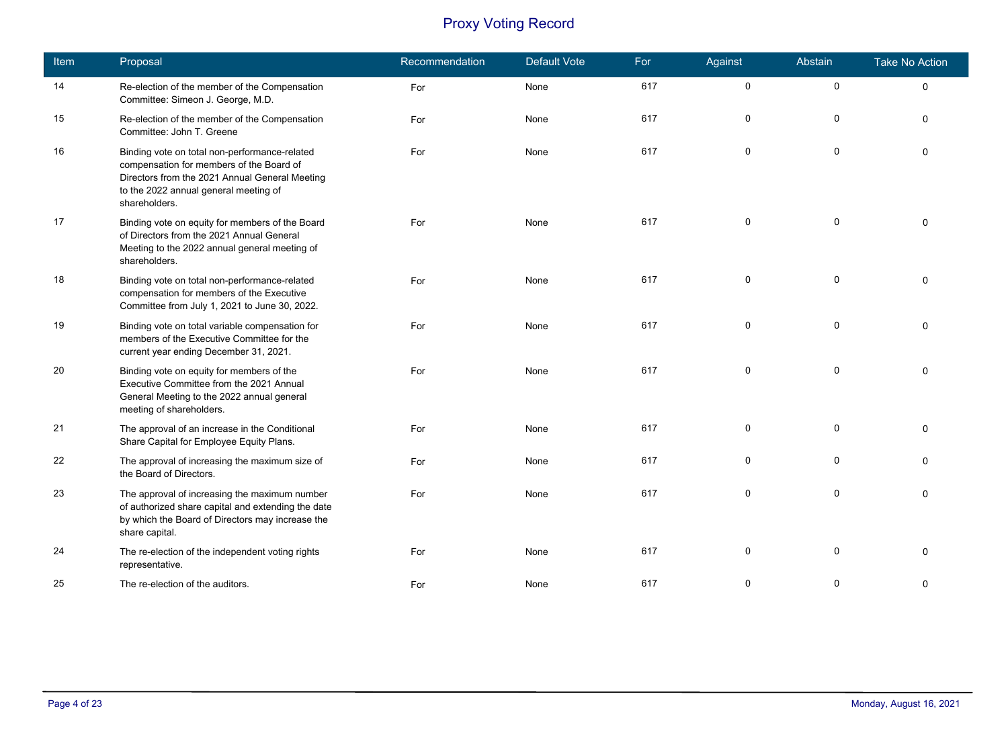| Item | Proposal                                                                                                                                                                                              | Recommendation | <b>Default Vote</b> | For | Against     | Abstain     | <b>Take No Action</b> |
|------|-------------------------------------------------------------------------------------------------------------------------------------------------------------------------------------------------------|----------------|---------------------|-----|-------------|-------------|-----------------------|
| 14   | Re-election of the member of the Compensation<br>Committee: Simeon J. George, M.D.                                                                                                                    | For            | None                | 617 | $\pmb{0}$   | $\pmb{0}$   | $\mathbf 0$           |
| 15   | Re-election of the member of the Compensation<br>Committee: John T. Greene                                                                                                                            | For            | None                | 617 | 0           | 0           | $\Omega$              |
| 16   | Binding vote on total non-performance-related<br>compensation for members of the Board of<br>Directors from the 2021 Annual General Meeting<br>to the 2022 annual general meeting of<br>shareholders. | For            | None                | 617 | 0           | 0           | $\Omega$              |
| 17   | Binding vote on equity for members of the Board<br>of Directors from the 2021 Annual General<br>Meeting to the 2022 annual general meeting of<br>shareholders.                                        | For            | None                | 617 | 0           | $\pmb{0}$   | $\Omega$              |
| 18   | Binding vote on total non-performance-related<br>compensation for members of the Executive<br>Committee from July 1, 2021 to June 30, 2022.                                                           | For            | None                | 617 | $\Omega$    | $\mathbf 0$ | $\Omega$              |
| 19   | Binding vote on total variable compensation for<br>members of the Executive Committee for the<br>current year ending December 31, 2021.                                                               | For            | None                | 617 | 0           | $\pmb{0}$   | $\Omega$              |
| 20   | Binding vote on equity for members of the<br>Executive Committee from the 2021 Annual<br>General Meeting to the 2022 annual general<br>meeting of shareholders.                                       | For            | None                | 617 | 0           | 0           | $\Omega$              |
| 21   | The approval of an increase in the Conditional<br>Share Capital for Employee Equity Plans.                                                                                                            | For            | None                | 617 | 0           | 0           | ∩                     |
| 22   | The approval of increasing the maximum size of<br>the Board of Directors.                                                                                                                             | For            | None                | 617 | 0           | 0           | $\Omega$              |
| 23   | The approval of increasing the maximum number<br>of authorized share capital and extending the date<br>by which the Board of Directors may increase the<br>share capital.                             | For            | None                | 617 | $\mathbf 0$ | 0           | $\Omega$              |
| 24   | The re-election of the independent voting rights<br>representative.                                                                                                                                   | For            | None                | 617 | 0           | $\mathbf 0$ | $\Omega$              |
| 25   | The re-election of the auditors.                                                                                                                                                                      | For            | None                | 617 | 0           | $\mathbf 0$ | $\Omega$              |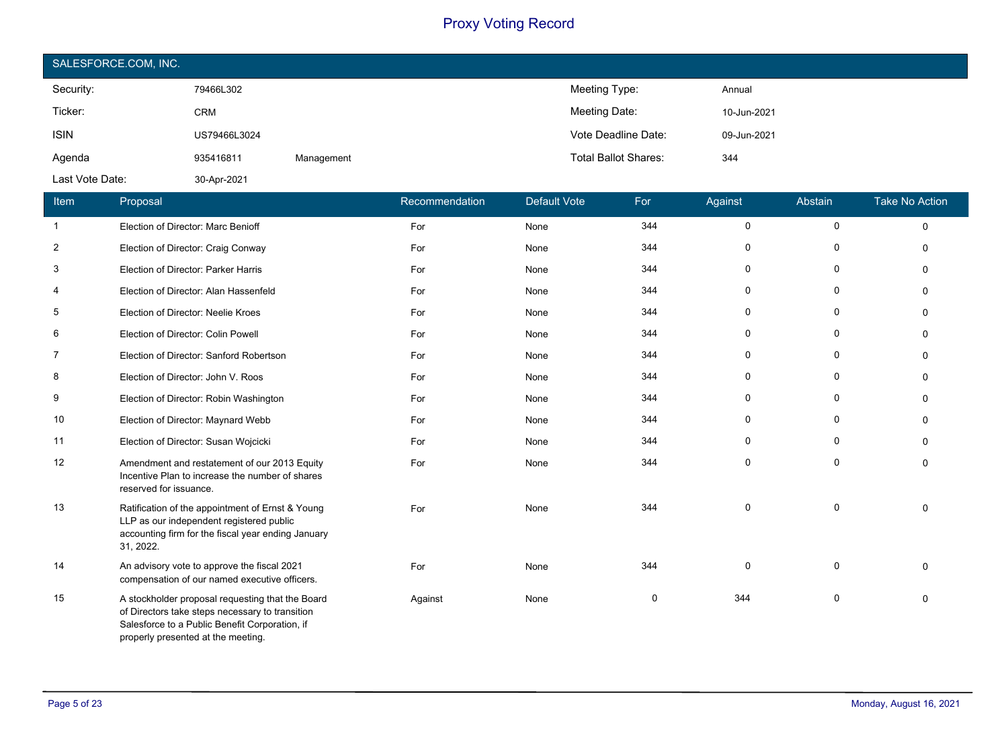| SALESFORCE.COM, INC. |              |            |                             |             |  |  |  |  |
|----------------------|--------------|------------|-----------------------------|-------------|--|--|--|--|
| Security:            | 79466L302    |            | Meeting Type:               | Annual      |  |  |  |  |
| Ticker:              | <b>CRM</b>   |            | Meeting Date:               | 10-Jun-2021 |  |  |  |  |
| <b>ISIN</b>          | US79466L3024 |            | Vote Deadline Date:         | 09-Jun-2021 |  |  |  |  |
| Agenda               | 935416811    | Management | <b>Total Ballot Shares:</b> | 344         |  |  |  |  |
| Last Vote Date:      | 30-Apr-2021  |            |                             |             |  |  |  |  |

| Item           | Proposal                                                                                                                                                                                    | Recommendation | <b>Default Vote</b> | For | Against     | Abstain     | <b>Take No Action</b> |
|----------------|---------------------------------------------------------------------------------------------------------------------------------------------------------------------------------------------|----------------|---------------------|-----|-------------|-------------|-----------------------|
| $\mathbf{1}$   | Election of Director: Marc Benioff                                                                                                                                                          | For            | None                | 344 | $\mathbf 0$ | $\mathbf 0$ | $\Omega$              |
| $\overline{2}$ | Election of Director: Craig Conway                                                                                                                                                          | For            | None                | 344 | 0           | 0           | $\Omega$              |
| 3              | Election of Director: Parker Harris                                                                                                                                                         | For            | None                | 344 | 0           | 0           | $\Omega$              |
| 4              | Election of Director: Alan Hassenfeld                                                                                                                                                       | For            | None                | 344 | 0           | 0           | $\Omega$              |
| 5              | Election of Director: Neelie Kroes                                                                                                                                                          | For            | None                | 344 | $\mathbf 0$ | $\mathbf 0$ | $\Omega$              |
| 6              | Election of Director: Colin Powell                                                                                                                                                          | For            | None                | 344 | 0           | 0           | $\Omega$              |
| 7              | Election of Director: Sanford Robertson                                                                                                                                                     | For            | None                | 344 | 0           | 0           | 0                     |
| 8              | Election of Director: John V. Roos                                                                                                                                                          | For            | None                | 344 | 0           | 0           | $\Omega$              |
| 9              | Election of Director: Robin Washington                                                                                                                                                      | For            | None                | 344 | 0           | 0           | $\Omega$              |
| 10             | Election of Director: Maynard Webb                                                                                                                                                          | For            | None                | 344 | 0           | 0           | $\Omega$              |
| 11             | Election of Director: Susan Wojcicki                                                                                                                                                        | For            | None                | 344 | $\Omega$    | $\Omega$    | $\Omega$              |
| 12             | Amendment and restatement of our 2013 Equity<br>Incentive Plan to increase the number of shares<br>reserved for issuance.                                                                   | For            | None                | 344 | $\mathbf 0$ | $\mathbf 0$ | $\mathbf 0$           |
| 13             | Ratification of the appointment of Ernst & Young<br>LLP as our independent registered public<br>accounting firm for the fiscal year ending January<br>31, 2022.                             | For            | None                | 344 | 0           | $\mathbf 0$ | $\Omega$              |
| 14             | An advisory vote to approve the fiscal 2021<br>compensation of our named executive officers.                                                                                                | For            | None                | 344 | $\mathbf 0$ | 0           | $\Omega$              |
| 15             | A stockholder proposal requesting that the Board<br>of Directors take steps necessary to transition<br>Salesforce to a Public Benefit Corporation, if<br>properly presented at the meeting. | Against        | None                | 0   | 344         | 0           | $\Omega$              |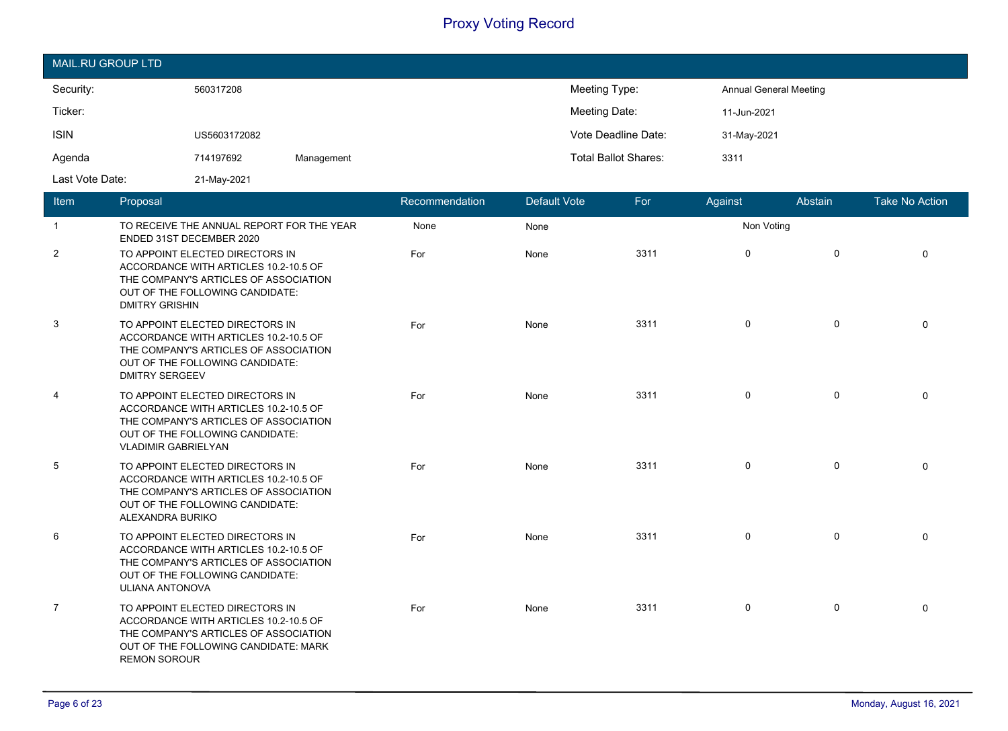| MAIL.RU GROUP LTD |              |            |                             |                               |  |  |  |  |  |
|-------------------|--------------|------------|-----------------------------|-------------------------------|--|--|--|--|--|
| Security:         | 560317208    |            | Meeting Type:               | <b>Annual General Meeting</b> |  |  |  |  |  |
| Ticker:           |              |            | Meeting Date:               | 11-Jun-2021                   |  |  |  |  |  |
| <b>ISIN</b>       | US5603172082 |            | Vote Deadline Date:         | 31-May-2021                   |  |  |  |  |  |
| Agenda            | 714197692    | Management | <b>Total Ballot Shares:</b> | 3311                          |  |  |  |  |  |
| Last Vote Date:   | 21-May-2021  |            |                             |                               |  |  |  |  |  |

| Item           | Proposal                                                                                                                                                                           | Recommendation | <b>Default Vote</b> | For  | Against      | Abstain      | <b>Take No Action</b> |
|----------------|------------------------------------------------------------------------------------------------------------------------------------------------------------------------------------|----------------|---------------------|------|--------------|--------------|-----------------------|
| $\mathbf{1}$   | TO RECEIVE THE ANNUAL REPORT FOR THE YEAR<br>ENDED 31ST DECEMBER 2020                                                                                                              | None           | None                |      | Non Voting   |              |                       |
| $\overline{2}$ | TO APPOINT ELECTED DIRECTORS IN<br>ACCORDANCE WITH ARTICLES 10.2-10.5 OF<br>THE COMPANY'S ARTICLES OF ASSOCIATION<br>OUT OF THE FOLLOWING CANDIDATE:<br><b>DMITRY GRISHIN</b>      | For            | None                | 3311 | $\mathbf{0}$ | $\mathbf 0$  | $\Omega$              |
| 3              | TO APPOINT ELECTED DIRECTORS IN<br>ACCORDANCE WITH ARTICLES 10.2-10.5 OF<br>THE COMPANY'S ARTICLES OF ASSOCIATION<br>OUT OF THE FOLLOWING CANDIDATE:<br><b>DMITRY SERGEEV</b>      | For            | None                | 3311 | $\mathbf 0$  | $\mathbf 0$  | $\Omega$              |
| 4              | TO APPOINT ELECTED DIRECTORS IN<br>ACCORDANCE WITH ARTICLES 10.2-10.5 OF<br>THE COMPANY'S ARTICLES OF ASSOCIATION<br>OUT OF THE FOLLOWING CANDIDATE:<br><b>VLADIMIR GABRIELYAN</b> | For            | None                | 3311 | $\mathbf 0$  | 0            | $\Omega$              |
| 5              | TO APPOINT ELECTED DIRECTORS IN<br>ACCORDANCE WITH ARTICLES 10.2-10.5 OF<br>THE COMPANY'S ARTICLES OF ASSOCIATION<br>OUT OF THE FOLLOWING CANDIDATE:<br>ALEXANDRA BURIKO           | For            | None                | 3311 | $\mathbf 0$  | $\mathbf 0$  | $\Omega$              |
| 6              | TO APPOINT ELECTED DIRECTORS IN<br>ACCORDANCE WITH ARTICLES 10.2-10.5 OF<br>THE COMPANY'S ARTICLES OF ASSOCIATION<br>OUT OF THE FOLLOWING CANDIDATE:<br><b>ULIANA ANTONOVA</b>     | For            | None                | 3311 | $\mathbf 0$  | $\mathsf{O}$ | $\mathbf 0$           |
| $\overline{7}$ | TO APPOINT ELECTED DIRECTORS IN<br>ACCORDANCE WITH ARTICLES 10.2-10.5 OF<br>THE COMPANY'S ARTICLES OF ASSOCIATION<br>OUT OF THE FOLLOWING CANDIDATE: MARK<br><b>REMON SOROUR</b>   | For            | None                | 3311 | $\mathbf 0$  | $\mathsf{O}$ | $\Omega$              |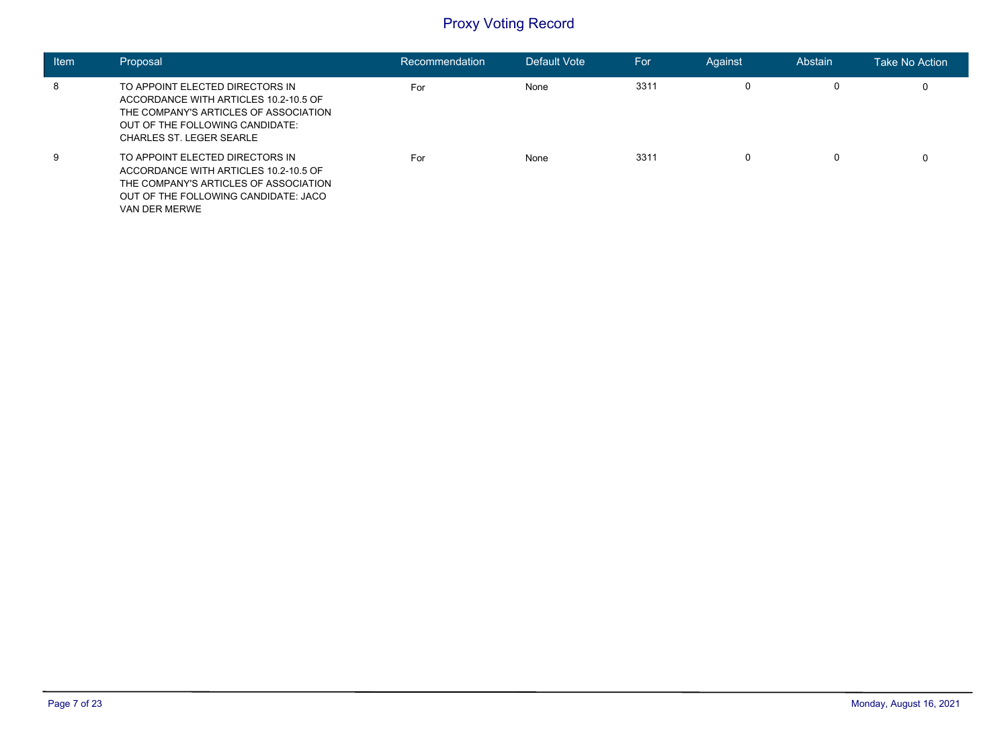| Item | Proposal                                                                                                                                                                                | Recommendation | Default Vote | For  | Against | Abstain | <b>Take No Action</b> |
|------|-----------------------------------------------------------------------------------------------------------------------------------------------------------------------------------------|----------------|--------------|------|---------|---------|-----------------------|
| 8    | TO APPOINT ELECTED DIRECTORS IN<br>ACCORDANCE WITH ARTICLES 10.2-10.5 OF<br>THE COMPANY'S ARTICLES OF ASSOCIATION<br>OUT OF THE FOLLOWING CANDIDATE:<br><b>CHARLES ST. LEGER SEARLE</b> | For            | None         | 3311 | 0       | 0       | 0                     |
| 9    | TO APPOINT ELECTED DIRECTORS IN<br>ACCORDANCE WITH ARTICLES 10.2-10.5 OF<br>THE COMPANY'S ARTICLES OF ASSOCIATION<br>OUT OF THE FOLLOWING CANDIDATE: JACO<br>VAN DER MERWE              | For            | None         | 3311 | 0       | 0       | 0                     |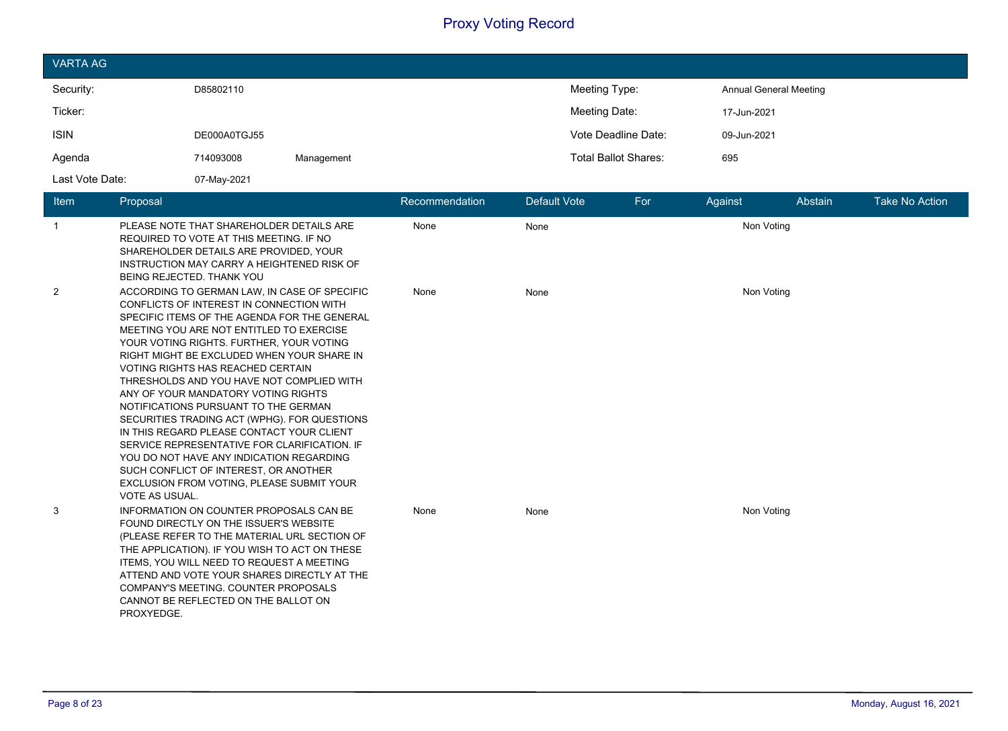| <b>VARTA AG</b> |              |            |                             |                               |
|-----------------|--------------|------------|-----------------------------|-------------------------------|
| Security:       | D85802110    |            | Meeting Type:               | <b>Annual General Meeting</b> |
| Ticker:         |              |            | Meeting Date:               | 17-Jun-2021                   |
| <b>ISIN</b>     | DE000A0TGJ55 |            | Vote Deadline Date:         | 09-Jun-2021                   |
| Agenda          | 714093008    | Management | <b>Total Ballot Shares:</b> | 695                           |
| Last Vote Date: | 07-May-2021  |            |                             |                               |

| Item           | Proposal                                                                                                                                                                                                                                                                                                                                                                                                                                                                                                                                                                                                                                                                                                                                                       | Recommendation | Default Vote | For        | Against    | Abstain | <b>Take No Action</b> |  |
|----------------|----------------------------------------------------------------------------------------------------------------------------------------------------------------------------------------------------------------------------------------------------------------------------------------------------------------------------------------------------------------------------------------------------------------------------------------------------------------------------------------------------------------------------------------------------------------------------------------------------------------------------------------------------------------------------------------------------------------------------------------------------------------|----------------|--------------|------------|------------|---------|-----------------------|--|
| $\mathbf{1}$   | PLEASE NOTE THAT SHAREHOLDER DETAILS ARE<br>REQUIRED TO VOTE AT THIS MEETING. IF NO<br>SHAREHOLDER DETAILS ARE PROVIDED, YOUR<br>INSTRUCTION MAY CARRY A HEIGHTENED RISK OF<br>BEING REJECTED. THANK YOU                                                                                                                                                                                                                                                                                                                                                                                                                                                                                                                                                       | None           | None         | Non Voting |            |         |                       |  |
| $\overline{2}$ | ACCORDING TO GERMAN LAW, IN CASE OF SPECIFIC<br>CONFLICTS OF INTEREST IN CONNECTION WITH<br>SPECIFIC ITEMS OF THE AGENDA FOR THE GENERAL<br>MEETING YOU ARE NOT ENTITLED TO EXERCISE<br>YOUR VOTING RIGHTS. FURTHER, YOUR VOTING<br>RIGHT MIGHT BE EXCLUDED WHEN YOUR SHARE IN<br><b>VOTING RIGHTS HAS REACHED CERTAIN</b><br>THRESHOLDS AND YOU HAVE NOT COMPLIED WITH<br>ANY OF YOUR MANDATORY VOTING RIGHTS<br>NOTIFICATIONS PURSUANT TO THE GERMAN<br>SECURITIES TRADING ACT (WPHG). FOR QUESTIONS<br>IN THIS REGARD PLEASE CONTACT YOUR CLIENT<br>SERVICE REPRESENTATIVE FOR CLARIFICATION. IF<br>YOU DO NOT HAVE ANY INDICATION REGARDING<br>SUCH CONFLICT OF INTEREST, OR ANOTHER<br>EXCLUSION FROM VOTING, PLEASE SUBMIT YOUR<br><b>VOTE AS USUAL.</b> | None           | None         | Non Voting |            |         |                       |  |
| 3              | INFORMATION ON COUNTER PROPOSALS CAN BE<br>FOUND DIRECTLY ON THE ISSUER'S WEBSITE<br>(PLEASE REFER TO THE MATERIAL URL SECTION OF<br>THE APPLICATION). IF YOU WISH TO ACT ON THESE<br>ITEMS, YOU WILL NEED TO REQUEST A MEETING<br>ATTEND AND VOTE YOUR SHARES DIRECTLY AT THE<br>COMPANY'S MEETING. COUNTER PROPOSALS<br>CANNOT BE REFLECTED ON THE BALLOT ON<br>PROXYEDGE.                                                                                                                                                                                                                                                                                                                                                                                   | None           | None         |            | Non Voting |         |                       |  |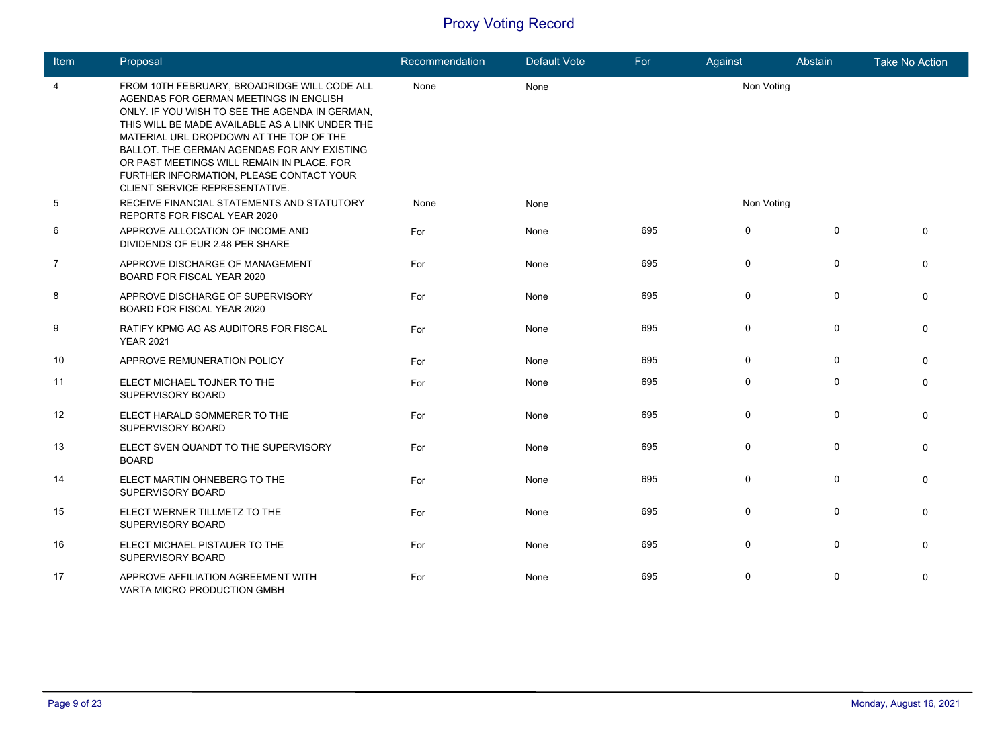| Item           | Proposal                                                                                                                                                                                                                                                                                                                                                                                                          | Recommendation | <b>Default Vote</b> | For | Against     | Abstain      | <b>Take No Action</b> |
|----------------|-------------------------------------------------------------------------------------------------------------------------------------------------------------------------------------------------------------------------------------------------------------------------------------------------------------------------------------------------------------------------------------------------------------------|----------------|---------------------|-----|-------------|--------------|-----------------------|
| 4              | FROM 10TH FEBRUARY, BROADRIDGE WILL CODE ALL<br>AGENDAS FOR GERMAN MEETINGS IN ENGLISH<br>ONLY. IF YOU WISH TO SEE THE AGENDA IN GERMAN,<br>THIS WILL BE MADE AVAILABLE AS A LINK UNDER THE<br>MATERIAL URL DROPDOWN AT THE TOP OF THE<br>BALLOT. THE GERMAN AGENDAS FOR ANY EXISTING<br>OR PAST MEETINGS WILL REMAIN IN PLACE. FOR<br>FURTHER INFORMATION, PLEASE CONTACT YOUR<br>CLIENT SERVICE REPRESENTATIVE. | None           | None                |     | Non Voting  |              |                       |
| $\sqrt{5}$     | RECEIVE FINANCIAL STATEMENTS AND STATUTORY<br>REPORTS FOR FISCAL YEAR 2020                                                                                                                                                                                                                                                                                                                                        | None           | None                |     | Non Voting  |              |                       |
| 6              | APPROVE ALLOCATION OF INCOME AND<br>DIVIDENDS OF EUR 2.48 PER SHARE                                                                                                                                                                                                                                                                                                                                               | For            | None                | 695 | $\mathbf 0$ | $\Omega$     | $\Omega$              |
| $\overline{7}$ | APPROVE DISCHARGE OF MANAGEMENT<br>BOARD FOR FISCAL YEAR 2020                                                                                                                                                                                                                                                                                                                                                     | For            | None                | 695 | $\mathbf 0$ | $\mathbf 0$  | $\mathbf{0}$          |
| 8              | APPROVE DISCHARGE OF SUPERVISORY<br>BOARD FOR FISCAL YEAR 2020                                                                                                                                                                                                                                                                                                                                                    | For            | None                | 695 | $\mathbf 0$ | $\mathbf 0$  | $\mathbf{0}$          |
| 9              | RATIFY KPMG AG AS AUDITORS FOR FISCAL<br><b>YEAR 2021</b>                                                                                                                                                                                                                                                                                                                                                         | For            | None                | 695 | 0           | $\mathbf 0$  | $\Omega$              |
| 10             | APPROVE REMUNERATION POLICY                                                                                                                                                                                                                                                                                                                                                                                       | For            | None                | 695 | $\mathbf 0$ | $\mathbf{0}$ | $\Omega$              |
| 11             | ELECT MICHAEL TOJNER TO THE<br>SUPERVISORY BOARD                                                                                                                                                                                                                                                                                                                                                                  | For            | None                | 695 | 0           | $\mathbf{0}$ | $\mathbf{0}$          |
| 12             | ELECT HARALD SOMMERER TO THE<br>SUPERVISORY BOARD                                                                                                                                                                                                                                                                                                                                                                 | For            | None                | 695 | $\mathbf 0$ | $\mathbf 0$  | $\mathbf{0}$          |
| 13             | ELECT SVEN QUANDT TO THE SUPERVISORY<br><b>BOARD</b>                                                                                                                                                                                                                                                                                                                                                              | For            | None                | 695 | $\mathbf 0$ | $\mathbf 0$  | $\mathbf{0}$          |
| 14             | ELECT MARTIN OHNEBERG TO THE<br>SUPERVISORY BOARD                                                                                                                                                                                                                                                                                                                                                                 | For            | None                | 695 | $\mathbf 0$ | $\mathbf 0$  | $\mathbf{0}$          |
| 15             | ELECT WERNER TILLMETZ TO THE<br>SUPERVISORY BOARD                                                                                                                                                                                                                                                                                                                                                                 | For            | None                | 695 | $\mathbf 0$ | $\Omega$     | $\Omega$              |
| 16             | ELECT MICHAEL PISTAUER TO THE<br>SUPERVISORY BOARD                                                                                                                                                                                                                                                                                                                                                                | For            | None                | 695 | 0           | $\mathbf 0$  | $\Omega$              |
| 17             | APPROVE AFFILIATION AGREEMENT WITH<br>VARTA MICRO PRODUCTION GMBH                                                                                                                                                                                                                                                                                                                                                 | For            | None                | 695 | $\mathbf 0$ | $\Omega$     | 0                     |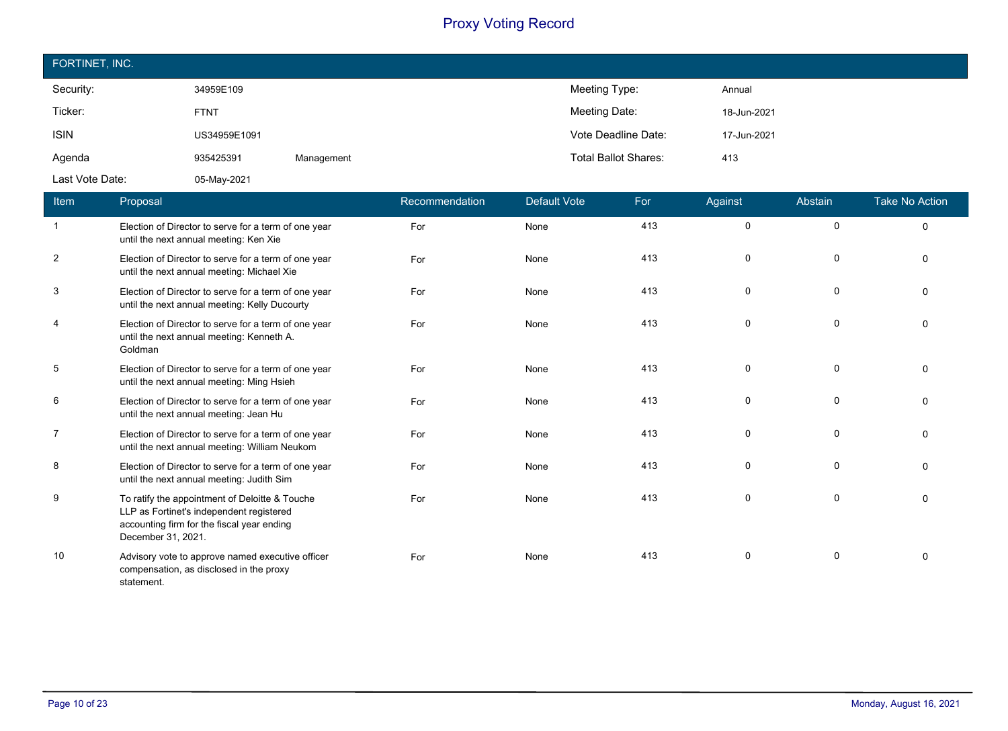| FORTINET, INC.  |              |            |                             |             |  |  |  |  |
|-----------------|--------------|------------|-----------------------------|-------------|--|--|--|--|
| Security:       | 34959E109    |            | Meeting Type:               | Annual      |  |  |  |  |
| Ticker:         | <b>FTNT</b>  |            | Meeting Date:               | 18-Jun-2021 |  |  |  |  |
| <b>ISIN</b>     | US34959E1091 |            | Vote Deadline Date:         | 17-Jun-2021 |  |  |  |  |
| Agenda          | 935425391    | Management | <b>Total Ballot Shares:</b> | 413         |  |  |  |  |
| Last Vote Date: | 05-May-2021  |            |                             |             |  |  |  |  |

| Item           | Proposal                                                                                                                                                       | Recommendation | <b>Default Vote</b> | For | Against  | Abstain     | <b>Take No Action</b> |
|----------------|----------------------------------------------------------------------------------------------------------------------------------------------------------------|----------------|---------------------|-----|----------|-------------|-----------------------|
| -1             | Election of Director to serve for a term of one year<br>until the next annual meeting: Ken Xie                                                                 | For            | None                | 413 | 0        | $\Omega$    | $\Omega$              |
| $\overline{2}$ | Election of Director to serve for a term of one year<br>until the next annual meeting: Michael Xie                                                             | For            | None                | 413 | $\Omega$ | $\Omega$    | $\Omega$              |
| 3              | Election of Director to serve for a term of one year<br>until the next annual meeting: Kelly Ducourty                                                          | For            | None                | 413 | $\Omega$ | 0           | $\Omega$              |
| 4              | Election of Director to serve for a term of one year<br>until the next annual meeting: Kenneth A.<br>Goldman                                                   | For            | None                | 413 | $\Omega$ | $\mathbf 0$ | $\Omega$              |
| 5              | Election of Director to serve for a term of one year<br>until the next annual meeting: Ming Hsieh                                                              | For            | None                | 413 | 0        | $\mathbf 0$ | $\Omega$              |
| 6              | Election of Director to serve for a term of one year<br>until the next annual meeting: Jean Hu                                                                 | For            | None                | 413 | $\Omega$ | $\Omega$    | $\Omega$              |
| $\overline{7}$ | Election of Director to serve for a term of one year<br>until the next annual meeting: William Neukom                                                          | For            | None                | 413 | 0        | 0           | $\Omega$              |
| 8              | Election of Director to serve for a term of one year<br>until the next annual meeting: Judith Sim                                                              | For            | None                | 413 | 0        | $\mathbf 0$ | $\mathbf 0$           |
| 9              | To ratify the appointment of Deloitte & Touche<br>LLP as Fortinet's independent registered<br>accounting firm for the fiscal year ending<br>December 31, 2021. | For            | None                | 413 | 0        | $\mathbf 0$ | $\Omega$              |
| 10             | Advisory vote to approve named executive officer<br>compensation, as disclosed in the proxy<br>statement.                                                      | For            | None                | 413 | $\Omega$ | $\mathbf 0$ | $\Omega$              |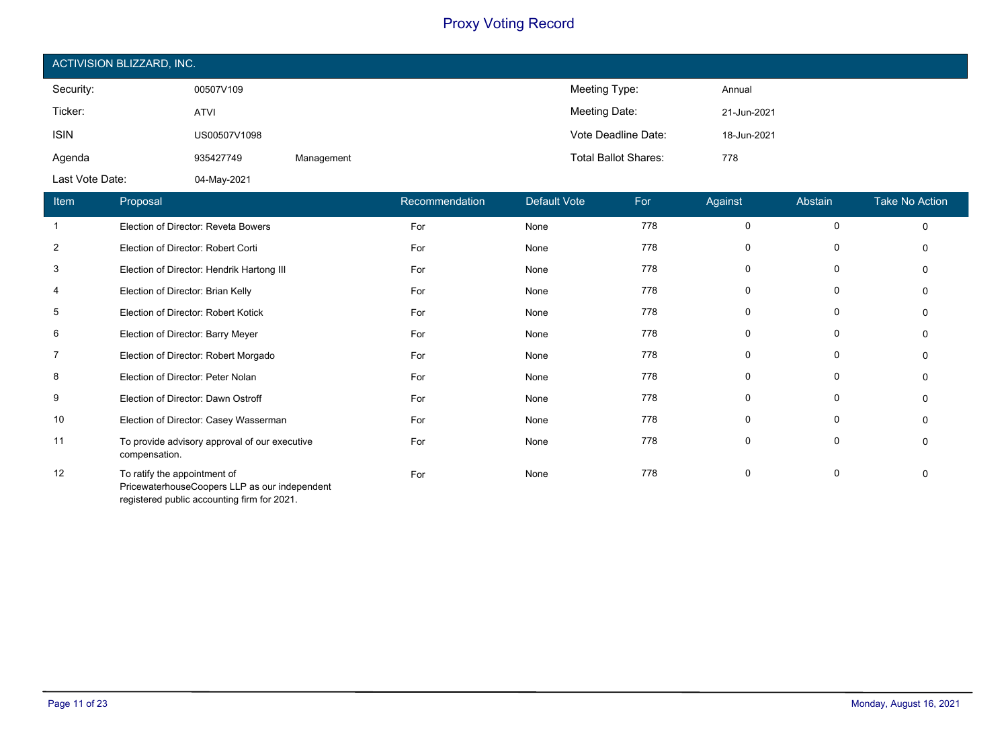| ACTIVISION BLIZZARD, INC. |              |            |                             |             |  |  |  |  |
|---------------------------|--------------|------------|-----------------------------|-------------|--|--|--|--|
| Security:                 | 00507V109    |            | Meeting Type:               | Annual      |  |  |  |  |
| Ticker:                   | <b>ATVI</b>  |            | Meeting Date:               | 21-Jun-2021 |  |  |  |  |
| <b>ISIN</b>               | US00507V1098 |            | Vote Deadline Date:         | 18-Jun-2021 |  |  |  |  |
| Agenda                    | 935427749    | Management | <b>Total Ballot Shares:</b> | 778         |  |  |  |  |
| Last Vote Date:           | 04-May-2021  |            |                             |             |  |  |  |  |

| Item | Proposal                                                                                                                     | Recommendation | <b>Default Vote</b> | For | Against     | Abstain  | <b>Take No Action</b> |
|------|------------------------------------------------------------------------------------------------------------------------------|----------------|---------------------|-----|-------------|----------|-----------------------|
|      | Election of Director: Reveta Bowers                                                                                          | For            | None                | 778 | $\mathbf 0$ | $\Omega$ | $\Omega$              |
| 2    | Election of Director: Robert Corti                                                                                           | For            | None                | 778 | 0           | 0        | 0                     |
| 3    | Election of Director: Hendrik Hartong III                                                                                    | For            | None                | 778 | 0           | 0        | $\Omega$              |
| 4    | Election of Director: Brian Kelly                                                                                            | For            | None                | 778 | 0           | 0        | $\Omega$              |
| 5    | Election of Director: Robert Kotick                                                                                          | For            | None                | 778 | 0           | 0        | $\Omega$              |
| 6    | Election of Director: Barry Meyer                                                                                            | For            | None                | 778 | 0           | 0        | 0                     |
| 7    | Election of Director: Robert Morgado                                                                                         | For            | None                | 778 | 0           | 0        | $\Omega$              |
| 8    | Election of Director: Peter Nolan                                                                                            | For            | None                | 778 | $\mathbf 0$ | 0        | $\Omega$              |
| 9    | Election of Director: Dawn Ostroff                                                                                           | For            | None                | 778 | 0           | 0        | $\Omega$              |
| 10   | Election of Director: Casey Wasserman                                                                                        | For            | None                | 778 | 0           | 0        | $\Omega$              |
| 11   | To provide advisory approval of our executive<br>compensation.                                                               | For            | None                | 778 | 0           | 0        | $\Omega$              |
| 12   | To ratify the appointment of<br>PricewaterhouseCoopers LLP as our independent<br>registered public accounting firm for 2021. | For            | None                | 778 | 0           | 0        | $\Omega$              |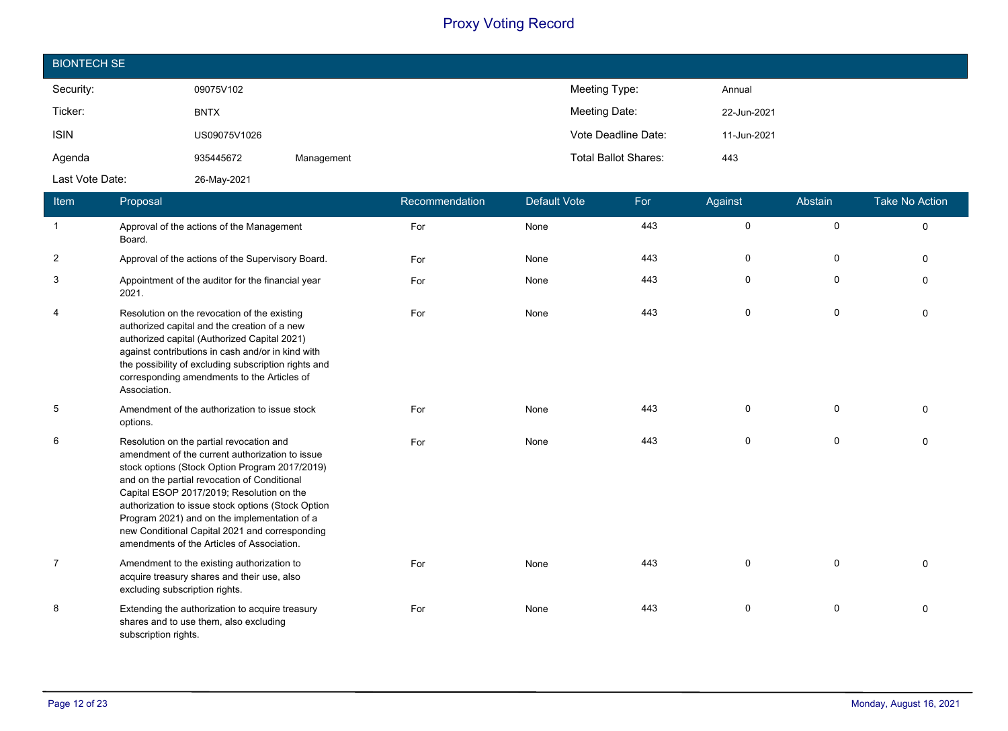| <b>BIONTECH SE</b> |              |            |                             |             |
|--------------------|--------------|------------|-----------------------------|-------------|
| Security:          | 09075V102    |            | Meeting Type:               | Annual      |
| Ticker:            | <b>BNTX</b>  |            | Meeting Date:               | 22-Jun-2021 |
| <b>ISIN</b>        | US09075V1026 |            | Vote Deadline Date:         | 11-Jun-2021 |
| Agenda             | 935445672    | Management | <b>Total Ballot Shares:</b> | 443         |
| Last Vote Date:    | 26-May-2021  |            |                             |             |

| Item           | Proposal                                                                                                                                                                                                                                                                                                                                                                                                                                         | Recommendation | <b>Default Vote</b> | For | Against     | Abstain      | <b>Take No Action</b> |
|----------------|--------------------------------------------------------------------------------------------------------------------------------------------------------------------------------------------------------------------------------------------------------------------------------------------------------------------------------------------------------------------------------------------------------------------------------------------------|----------------|---------------------|-----|-------------|--------------|-----------------------|
| $\overline{1}$ | Approval of the actions of the Management<br>Board.                                                                                                                                                                                                                                                                                                                                                                                              | For            | None                | 443 | $\mathbf 0$ | $\mathsf{O}$ | $\mathbf 0$           |
| $\overline{2}$ | Approval of the actions of the Supervisory Board.                                                                                                                                                                                                                                                                                                                                                                                                | For            | None                | 443 | $\mathbf 0$ | 0            | $\mathbf{0}$          |
| 3              | Appointment of the auditor for the financial year<br>2021.                                                                                                                                                                                                                                                                                                                                                                                       | For            | None                | 443 | $\mathbf 0$ | $\mathbf 0$  | $\Omega$              |
| 4              | Resolution on the revocation of the existing<br>authorized capital and the creation of a new<br>authorized capital (Authorized Capital 2021)<br>against contributions in cash and/or in kind with<br>the possibility of excluding subscription rights and<br>corresponding amendments to the Articles of<br>Association.                                                                                                                         | For            | None                | 443 | $\mathbf 0$ | $\mathbf 0$  | $\Omega$              |
| 5              | Amendment of the authorization to issue stock<br>options.                                                                                                                                                                                                                                                                                                                                                                                        | For            | None                | 443 | $\mathbf 0$ | 0            | $\Omega$              |
| 6              | Resolution on the partial revocation and<br>amendment of the current authorization to issue<br>stock options (Stock Option Program 2017/2019)<br>and on the partial revocation of Conditional<br>Capital ESOP 2017/2019; Resolution on the<br>authorization to issue stock options (Stock Option<br>Program 2021) and on the implementation of a<br>new Conditional Capital 2021 and corresponding<br>amendments of the Articles of Association. | For            | None                | 443 | $\mathbf 0$ | 0            | $\Omega$              |
| 7              | Amendment to the existing authorization to<br>acquire treasury shares and their use, also<br>excluding subscription rights.                                                                                                                                                                                                                                                                                                                      | For            | None                | 443 | $\mathbf 0$ | 0            | $\Omega$              |
| 8              | Extending the authorization to acquire treasury<br>shares and to use them, also excluding<br>subscription rights.                                                                                                                                                                                                                                                                                                                                | For            | None                | 443 | 0           | 0            | $\Omega$              |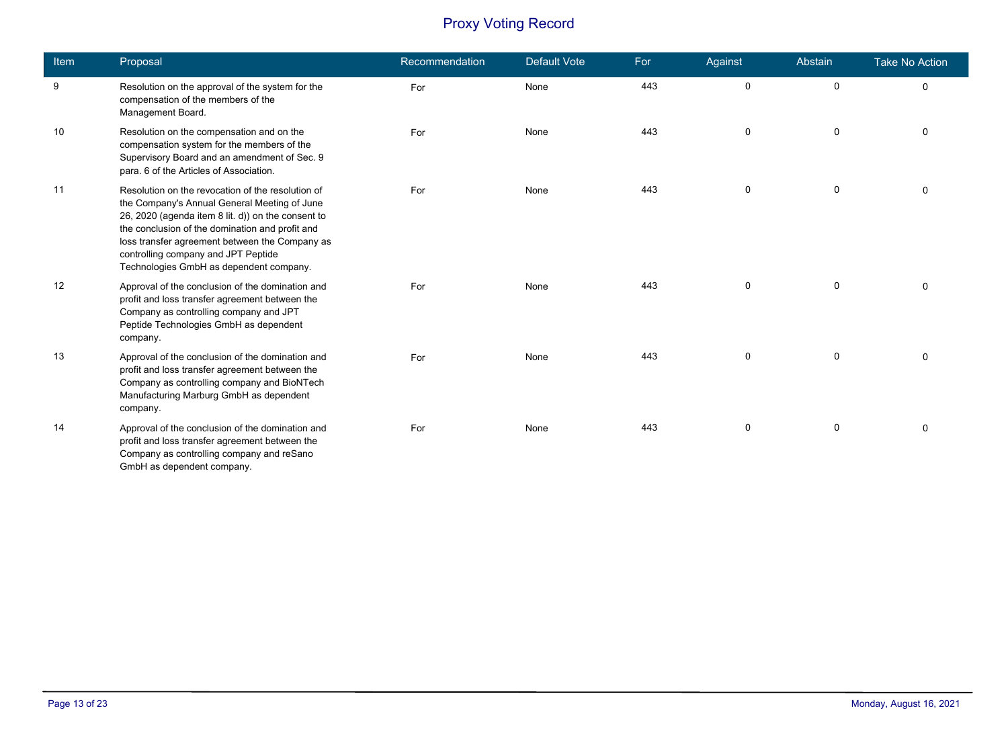| Item | Proposal                                                                                                                                                                                                                                                                                                                                       | Recommendation | <b>Default Vote</b> | For | Against     | Abstain      | <b>Take No Action</b> |
|------|------------------------------------------------------------------------------------------------------------------------------------------------------------------------------------------------------------------------------------------------------------------------------------------------------------------------------------------------|----------------|---------------------|-----|-------------|--------------|-----------------------|
| 9    | Resolution on the approval of the system for the<br>compensation of the members of the<br>Management Board.                                                                                                                                                                                                                                    | For            | None                | 443 | $\mathsf 0$ | $\mathbf 0$  | $\mathbf 0$           |
| 10   | Resolution on the compensation and on the<br>compensation system for the members of the<br>Supervisory Board and an amendment of Sec. 9<br>para. 6 of the Articles of Association.                                                                                                                                                             | For            | None                | 443 | 0           | $\mathbf 0$  | $\Omega$              |
| 11   | Resolution on the revocation of the resolution of<br>the Company's Annual General Meeting of June<br>26, 2020 (agenda item 8 lit. d)) on the consent to<br>the conclusion of the domination and profit and<br>loss transfer agreement between the Company as<br>controlling company and JPT Peptide<br>Technologies GmbH as dependent company. | For            | None                | 443 | $\mathbf 0$ | $\mathsf{O}$ | $\Omega$              |
| 12   | Approval of the conclusion of the domination and<br>profit and loss transfer agreement between the<br>Company as controlling company and JPT<br>Peptide Technologies GmbH as dependent<br>company.                                                                                                                                             | For            | None                | 443 | $\mathbf 0$ | 0            | $\mathbf 0$           |
| 13   | Approval of the conclusion of the domination and<br>profit and loss transfer agreement between the<br>Company as controlling company and BioNTech<br>Manufacturing Marburg GmbH as dependent<br>company.                                                                                                                                       | For            | None                | 443 | $\mathbf 0$ | 0            | $\Omega$              |
| 14   | Approval of the conclusion of the domination and<br>profit and loss transfer agreement between the<br>Company as controlling company and reSano<br>GmbH as dependent company.                                                                                                                                                                  | For            | None                | 443 | $\mathbf 0$ | $\mathbf 0$  | $\Omega$              |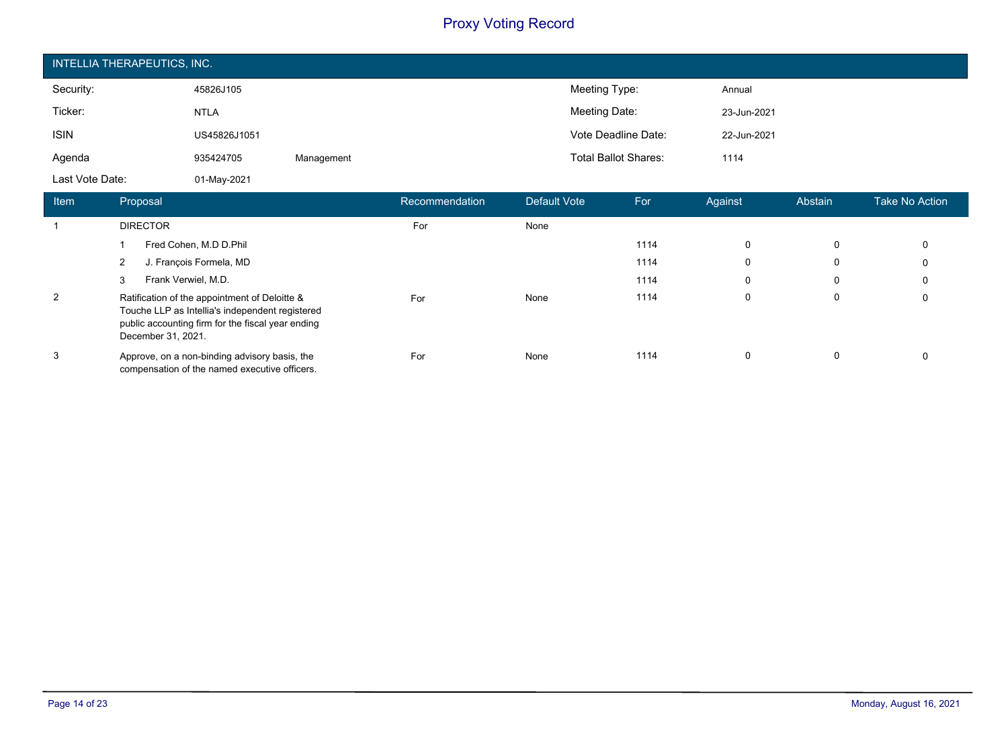| INTELLIA THERAPEUTICS, INC. |              |            |                             |             |  |  |  |  |
|-----------------------------|--------------|------------|-----------------------------|-------------|--|--|--|--|
| Security:                   | 45826J105    |            | Meeting Type:               | Annual      |  |  |  |  |
| Ticker:                     | <b>NTLA</b>  |            | Meeting Date:               | 23-Jun-2021 |  |  |  |  |
| <b>ISIN</b>                 | US45826J1051 |            | Vote Deadline Date:         | 22-Jun-2021 |  |  |  |  |
| Agenda                      | 935424705    | Management | <b>Total Ballot Shares:</b> | 1114        |  |  |  |  |
| Last Vote Date:             | 01-May-2021  |            |                             |             |  |  |  |  |

| <b>Item</b> | Proposal                                                                                                                                                                    | Recommendation | Default Vote | For  | Against  | Abstain | Take No Action |
|-------------|-----------------------------------------------------------------------------------------------------------------------------------------------------------------------------|----------------|--------------|------|----------|---------|----------------|
|             | <b>DIRECTOR</b>                                                                                                                                                             | For            | None         |      |          |         |                |
|             | Fred Cohen, M.D D.Phil                                                                                                                                                      |                |              | 1114 | $\Omega$ | 0       | 0              |
|             | J. François Formela, MD                                                                                                                                                     |                |              | 1114 | $\Omega$ | 0       | 0              |
|             | Frank Verwiel, M.D.<br>3                                                                                                                                                    |                |              | 1114 | 0        | 0       | 0              |
| 2           | Ratification of the appointment of Deloitte &<br>Touche LLP as Intellia's independent registered<br>public accounting firm for the fiscal year ending<br>December 31, 2021. | For            | None         | 1114 | $\Omega$ | 0       | 0              |
| 3           | Approve, on a non-binding advisory basis, the<br>compensation of the named executive officers.                                                                              | For            | None         | 1114 | 0        | 0       | 0              |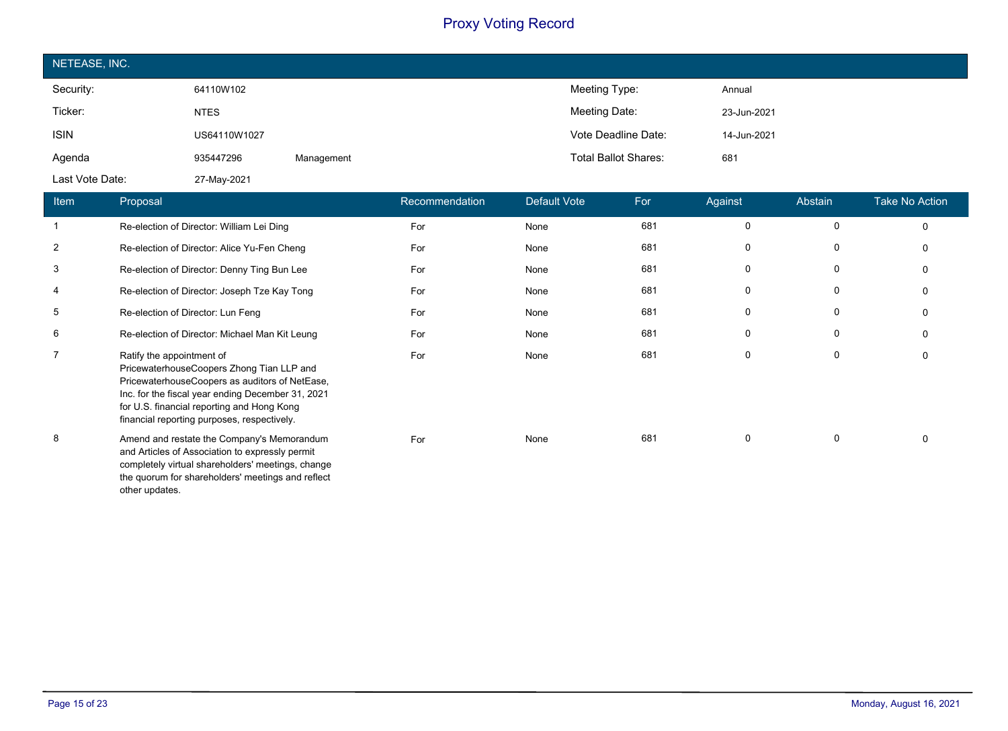| NETEASE, INC.   |              |            |                             |             |  |  |  |  |
|-----------------|--------------|------------|-----------------------------|-------------|--|--|--|--|
| Security:       | 64110W102    |            | Meeting Type:               | Annual      |  |  |  |  |
| Ticker:         | <b>NTES</b>  |            | Meeting Date:               | 23-Jun-2021 |  |  |  |  |
| <b>ISIN</b>     | US64110W1027 |            | Vote Deadline Date:         | 14-Jun-2021 |  |  |  |  |
| Agenda          | 935447296    | Management | <b>Total Ballot Shares:</b> | 681         |  |  |  |  |
| Last Vote Date: | 27-May-2021  |            |                             |             |  |  |  |  |

| <b>Item</b>    | Proposal                                                                                                                                                                                                                                                                   | Recommendation | Default Vote | For | Against  | Abstain     | <b>Take No Action</b> |
|----------------|----------------------------------------------------------------------------------------------------------------------------------------------------------------------------------------------------------------------------------------------------------------------------|----------------|--------------|-----|----------|-------------|-----------------------|
| $\mathbf{1}$   | Re-election of Director: William Lei Ding                                                                                                                                                                                                                                  | For            | None         | 681 | 0        | $\mathbf 0$ | 0                     |
| $\overline{2}$ | Re-election of Director: Alice Yu-Fen Cheng                                                                                                                                                                                                                                | For            | None         | 681 | 0        | 0           | 0                     |
| 3              | Re-election of Director: Denny Ting Bun Lee                                                                                                                                                                                                                                | For            | None         | 681 | 0        | 0           | $\Omega$              |
| 4              | Re-election of Director: Joseph Tze Kay Tong                                                                                                                                                                                                                               | For            | None         | 681 | $\Omega$ | 0           | 0                     |
| 5              | Re-election of Director: Lun Feng                                                                                                                                                                                                                                          | For            | None         | 681 | 0        | 0           | 0                     |
| 6              | Re-election of Director: Michael Man Kit Leung                                                                                                                                                                                                                             | For            | None         | 681 | 0        | 0           | $\Omega$              |
| $\overline{7}$ | Ratify the appointment of<br>PricewaterhouseCoopers Zhong Tian LLP and<br>PricewaterhouseCoopers as auditors of NetEase,<br>Inc. for the fiscal year ending December 31, 2021<br>for U.S. financial reporting and Hong Kong<br>financial reporting purposes, respectively. | For            | None         | 681 | 0        | 0           | 0                     |
| 8              | Amend and restate the Company's Memorandum<br>and Articles of Association to expressly permit<br>completely virtual shareholders' meetings, change<br>the quorum for shareholders' meetings and reflect<br>other updates.                                                  | For            | None         | 681 | 0        | 0           | 0                     |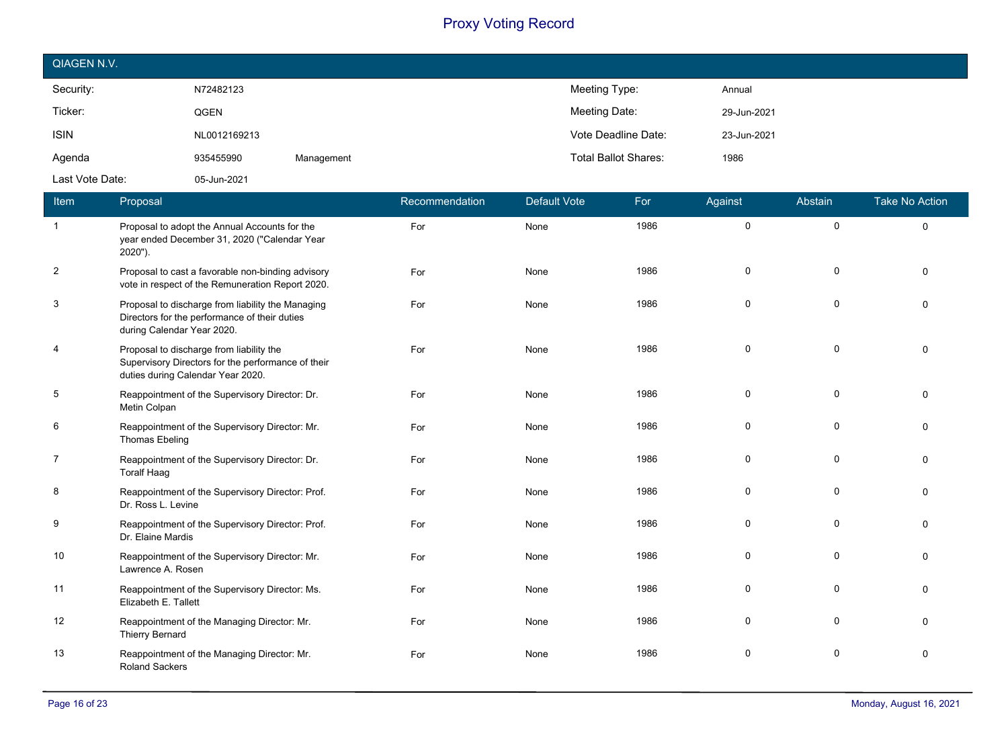| QIAGEN N.V.     |              |            |                             |             |
|-----------------|--------------|------------|-----------------------------|-------------|
| Security:       | N72482123    |            | Meeting Type:               | Annual      |
| Ticker:         | QGEN         |            | Meeting Date:               | 29-Jun-2021 |
| <b>ISIN</b>     | NL0012169213 |            | Vote Deadline Date:         | 23-Jun-2021 |
| Agenda          | 935455990    | Management | <b>Total Ballot Shares:</b> | 1986        |
| Last Vote Date: | 05-Jun-2021  |            |                             |             |

| Item           | Proposal                                                                                                                            | Recommendation | <b>Default Vote</b> | For  | Against  | Abstain     | <b>Take No Action</b> |
|----------------|-------------------------------------------------------------------------------------------------------------------------------------|----------------|---------------------|------|----------|-------------|-----------------------|
| $\mathbf{1}$   | Proposal to adopt the Annual Accounts for the<br>year ended December 31, 2020 ("Calendar Year<br>2020").                            | For            | None                | 1986 | 0        | $\mathbf 0$ | $\mathbf{0}$          |
| $\overline{2}$ | Proposal to cast a favorable non-binding advisory<br>vote in respect of the Remuneration Report 2020.                               | For            | None                | 1986 | 0        | 0           | $\Omega$              |
| 3              | Proposal to discharge from liability the Managing<br>Directors for the performance of their duties<br>during Calendar Year 2020.    | For            | None                | 1986 | $\Omega$ | 0           | $\Omega$              |
| 4              | Proposal to discharge from liability the<br>Supervisory Directors for the performance of their<br>duties during Calendar Year 2020. | For            | None                | 1986 | 0        | $\mathbf 0$ | $\Omega$              |
| 5              | Reappointment of the Supervisory Director: Dr.<br>Metin Colpan                                                                      | For            | None                | 1986 | 0        | $\Omega$    | $\Omega$              |
| 6              | Reappointment of the Supervisory Director: Mr.<br>Thomas Ebeling                                                                    | For            | None                | 1986 | 0        | 0           | $\Omega$              |
| $\overline{7}$ | Reappointment of the Supervisory Director: Dr.<br><b>Toralf Haag</b>                                                                | For            | None                | 1986 | 0        | $\Omega$    | $\Omega$              |
| 8              | Reappointment of the Supervisory Director: Prof.<br>Dr. Ross L. Levine                                                              | For            | None                | 1986 | 0        | $\Omega$    | $\Omega$              |
| 9              | Reappointment of the Supervisory Director: Prof.<br>Dr. Elaine Mardis                                                               | For            | None                | 1986 | 0        | $\Omega$    | $\Omega$              |
| 10             | Reappointment of the Supervisory Director: Mr.<br>Lawrence A. Rosen                                                                 | For            | None                | 1986 | 0        | 0           | $\Omega$              |
| 11             | Reappointment of the Supervisory Director: Ms.<br>Elizabeth E. Tallett                                                              | For            | None                | 1986 | 0        | $\Omega$    | $\Omega$              |
| 12             | Reappointment of the Managing Director: Mr.<br><b>Thierry Bernard</b>                                                               | For            | None                | 1986 | 0        | $\mathbf 0$ | $\Omega$              |
| 13             | Reappointment of the Managing Director: Mr.<br><b>Roland Sackers</b>                                                                | For            | None                | 1986 | 0        | $\mathbf 0$ | $\Omega$              |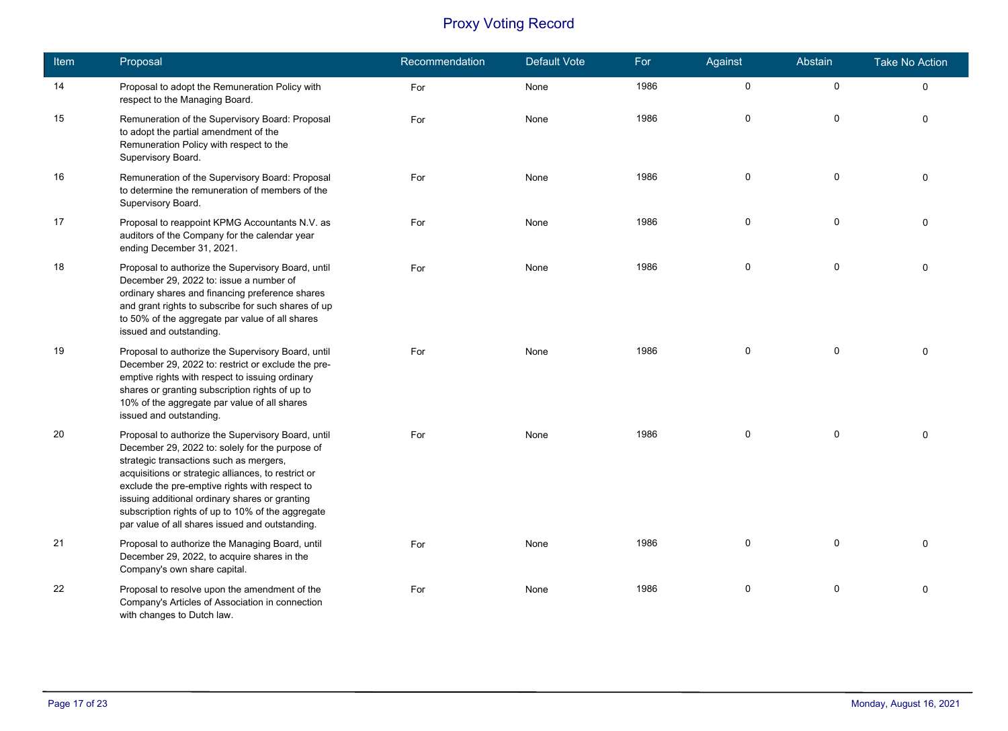| Item | Proposal                                                                                                                                                                                                                                                                                                                                                                                                            | Recommendation | Default Vote | For  | Against             | Abstain      | <b>Take No Action</b> |
|------|---------------------------------------------------------------------------------------------------------------------------------------------------------------------------------------------------------------------------------------------------------------------------------------------------------------------------------------------------------------------------------------------------------------------|----------------|--------------|------|---------------------|--------------|-----------------------|
| 14   | Proposal to adopt the Remuneration Policy with<br>respect to the Managing Board.                                                                                                                                                                                                                                                                                                                                    | For            | None         | 1986 | $\mathsf{O}\xspace$ | $\mathsf{O}$ | $\mathbf 0$           |
| 15   | Remuneration of the Supervisory Board: Proposal<br>to adopt the partial amendment of the<br>Remuneration Policy with respect to the<br>Supervisory Board.                                                                                                                                                                                                                                                           | For            | None         | 1986 | 0                   | $\mathsf{O}$ | $\mathbf{0}$          |
| 16   | Remuneration of the Supervisory Board: Proposal<br>to determine the remuneration of members of the<br>Supervisory Board.                                                                                                                                                                                                                                                                                            | For            | None         | 1986 | $\mathbf 0$         | $\mathbf 0$  | $\Omega$              |
| 17   | Proposal to reappoint KPMG Accountants N.V. as<br>auditors of the Company for the calendar year<br>ending December 31, 2021.                                                                                                                                                                                                                                                                                        | For            | None         | 1986 | $\mathbf 0$         | $\mathbf 0$  | $\Omega$              |
| 18   | Proposal to authorize the Supervisory Board, until<br>December 29, 2022 to: issue a number of<br>ordinary shares and financing preference shares<br>and grant rights to subscribe for such shares of up<br>to 50% of the aggregate par value of all shares<br>issued and outstanding.                                                                                                                               | For            | None         | 1986 | $\mathsf 0$         | $\mathsf{O}$ | $\Omega$              |
| 19   | Proposal to authorize the Supervisory Board, until<br>December 29, 2022 to: restrict or exclude the pre-<br>emptive rights with respect to issuing ordinary<br>shares or granting subscription rights of up to<br>10% of the aggregate par value of all shares<br>issued and outstanding.                                                                                                                           | For            | None         | 1986 | $\pmb{0}$           | $\mathsf 0$  | $\Omega$              |
| 20   | Proposal to authorize the Supervisory Board, until<br>December 29, 2022 to: solely for the purpose of<br>strategic transactions such as mergers,<br>acquisitions or strategic alliances, to restrict or<br>exclude the pre-emptive rights with respect to<br>issuing additional ordinary shares or granting<br>subscription rights of up to 10% of the aggregate<br>par value of all shares issued and outstanding. | For            | None         | 1986 | $\mathbf 0$         | $\mathbf 0$  | $\Omega$              |
| 21   | Proposal to authorize the Managing Board, until<br>December 29, 2022, to acquire shares in the<br>Company's own share capital.                                                                                                                                                                                                                                                                                      | For            | None         | 1986 | $\mathbf 0$         | $\mathbf 0$  | $\Omega$              |
| 22   | Proposal to resolve upon the amendment of the<br>Company's Articles of Association in connection<br>with changes to Dutch law.                                                                                                                                                                                                                                                                                      | For            | None         | 1986 | $\mathsf 0$         | $\mathsf{O}$ | $\Omega$              |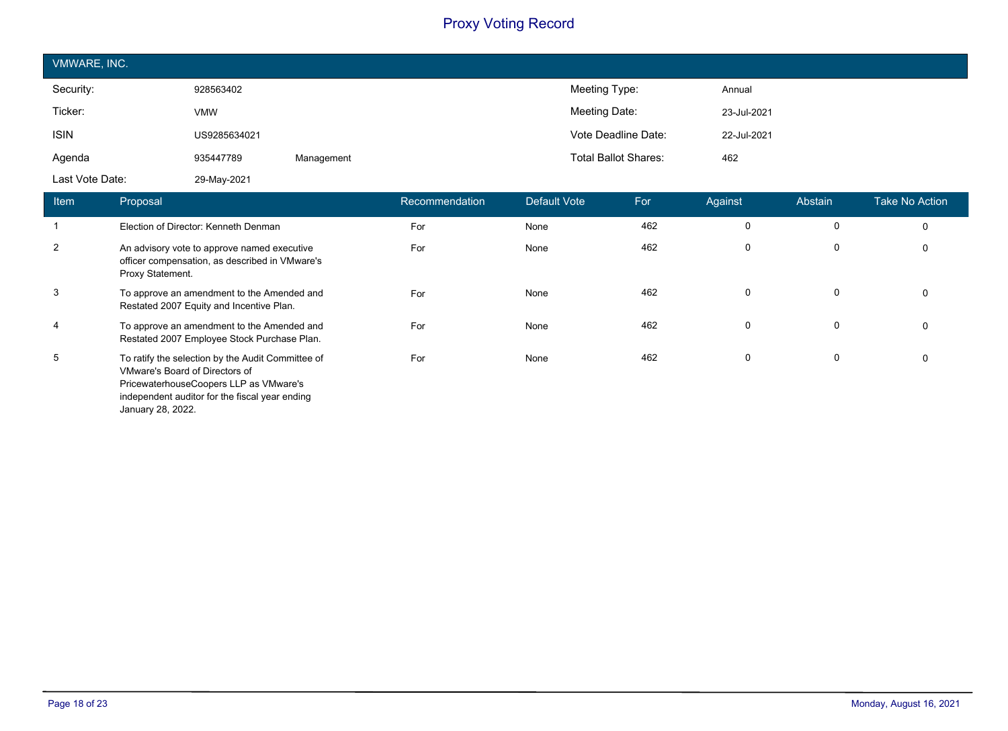| VMWARE, INC.    |              |            |                             |             |  |  |
|-----------------|--------------|------------|-----------------------------|-------------|--|--|
| Security:       | 928563402    |            | Meeting Type:               | Annual      |  |  |
| Ticker:         | <b>VMW</b>   |            | Meeting Date:               | 23-Jul-2021 |  |  |
| <b>ISIN</b>     | US9285634021 |            | Vote Deadline Date:         | 22-Jul-2021 |  |  |
| Agenda          | 935447789    | Management | <b>Total Ballot Shares:</b> | 462         |  |  |
| Last Vote Date: | 29-May-2021  |            |                             |             |  |  |

| Item | Proposal                                                                                                                                                                                             | Recommendation | Default Vote | For | Against     | Abstain     | Take No Action |
|------|------------------------------------------------------------------------------------------------------------------------------------------------------------------------------------------------------|----------------|--------------|-----|-------------|-------------|----------------|
|      | Election of Director: Kenneth Denman                                                                                                                                                                 | For            | None         | 462 | 0           | 0           | $\mathbf 0$    |
| 2    | An advisory vote to approve named executive<br>officer compensation, as described in VMware's<br>Proxy Statement.                                                                                    | For            | None         | 462 | $\mathbf 0$ | 0           | 0              |
| 3    | To approve an amendment to the Amended and<br>Restated 2007 Equity and Incentive Plan.                                                                                                               | For            | None         | 462 | 0           | 0           | 0              |
| 4    | To approve an amendment to the Amended and<br>Restated 2007 Employee Stock Purchase Plan.                                                                                                            | For            | None         | 462 | $\mathbf 0$ | $\mathbf 0$ | $\mathbf 0$    |
| 5    | To ratify the selection by the Audit Committee of<br>VMware's Board of Directors of<br>PricewaterhouseCoopers LLP as VMware's<br>independent auditor for the fiscal year ending<br>January 28, 2022. | For            | None         | 462 | $\mathbf 0$ | 0           | 0              |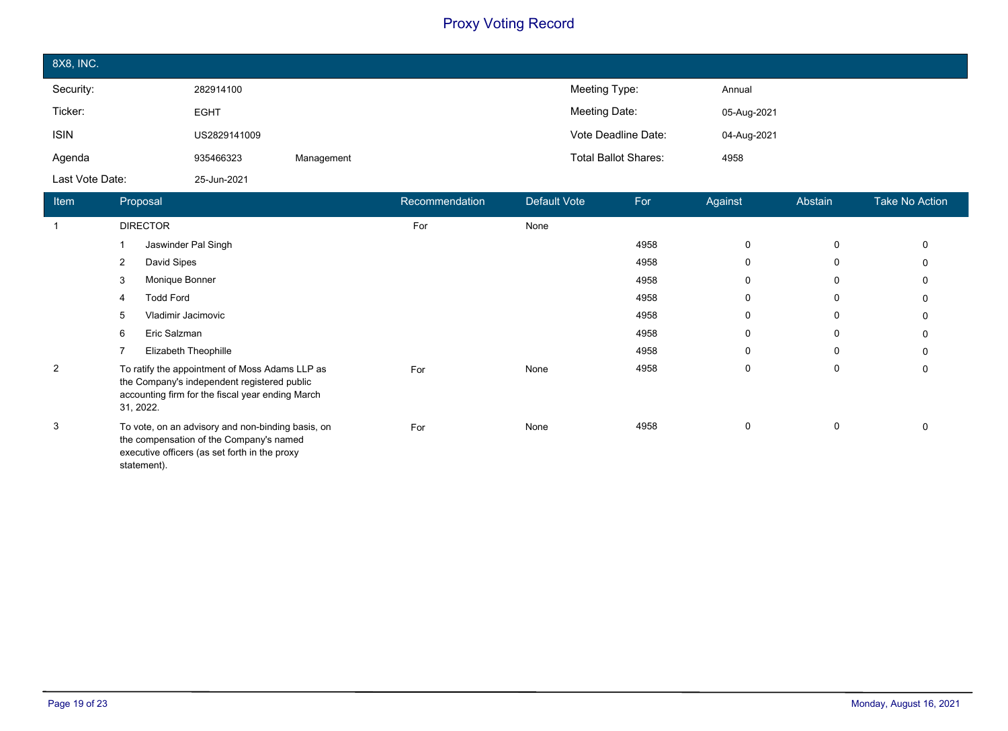| 8X8, INC.       |              |            |                             |             |
|-----------------|--------------|------------|-----------------------------|-------------|
| Security:       | 282914100    |            | Meeting Type:               | Annual      |
| Ticker:         | <b>EGHT</b>  |            | Meeting Date:               | 05-Aug-2021 |
| <b>ISIN</b>     | US2829141009 |            | Vote Deadline Date:         | 04-Aug-2021 |
| Agenda          | 935466323    | Management | <b>Total Ballot Shares:</b> | 4958        |
| Last Vote Date: | 25-Jun-2021  |            |                             |             |

| <b>Item</b>    | Proposal                                                                                                                                                       | Recommendation | Default Vote | For  | Against     | Abstain | <b>Take No Action</b> |
|----------------|----------------------------------------------------------------------------------------------------------------------------------------------------------------|----------------|--------------|------|-------------|---------|-----------------------|
|                | <b>DIRECTOR</b>                                                                                                                                                | For            | None         |      |             |         |                       |
|                | Jaswinder Pal Singh                                                                                                                                            |                |              | 4958 | 0           | 0       | 0                     |
|                | David Sipes<br>2                                                                                                                                               |                |              | 4958 | 0           | 0       | 0                     |
|                | Monique Bonner<br>3                                                                                                                                            |                |              | 4958 | $\mathbf 0$ | 0       | 0                     |
|                | <b>Todd Ford</b><br>4                                                                                                                                          |                |              | 4958 | 0           | 0       | 0                     |
|                | Vladimir Jacimovic<br>5                                                                                                                                        |                |              | 4958 | $\mathbf 0$ | 0       | 0                     |
|                | Eric Salzman<br>6                                                                                                                                              |                |              | 4958 | 0           | 0       | 0                     |
|                | Elizabeth Theophille                                                                                                                                           |                |              | 4958 | 0           | 0       | 0                     |
| $\overline{2}$ | To ratify the appointment of Moss Adams LLP as<br>the Company's independent registered public<br>accounting firm for the fiscal year ending March<br>31, 2022. | For            | None         | 4958 | 0           | 0       | 0                     |
| 3              | To vote, on an advisory and non-binding basis, on<br>the compensation of the Company's named<br>executive officers (as set forth in the proxy<br>statement).   | For            | None         | 4958 | $\mathbf 0$ | 0       | $\Omega$              |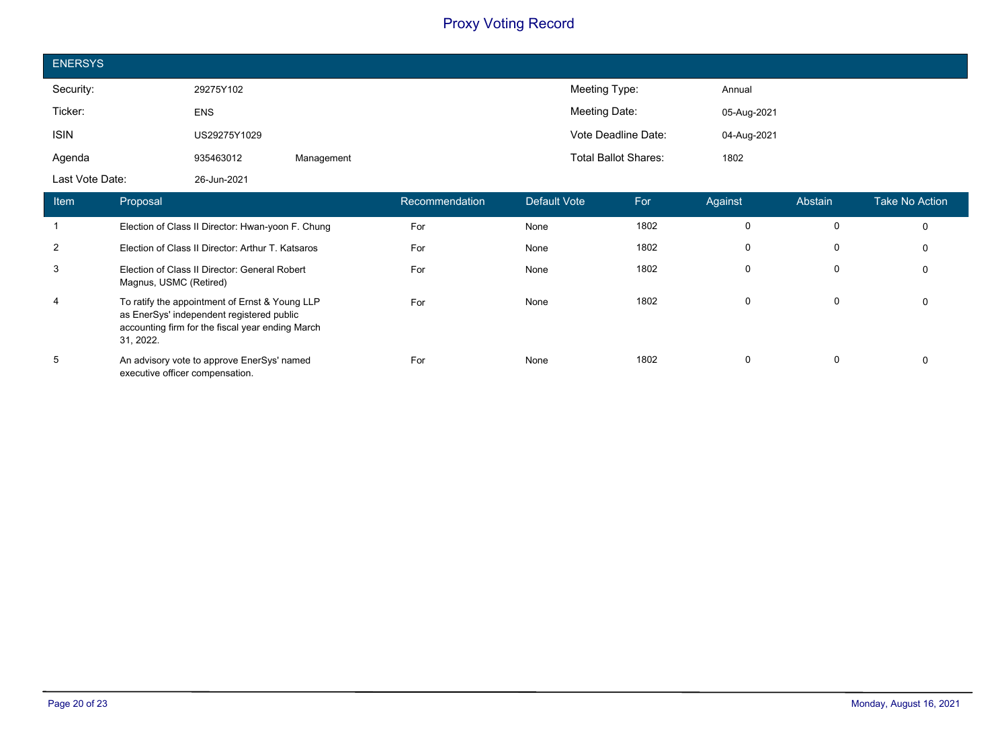| <b>ENERSYS</b>  |              |            |                             |             |
|-----------------|--------------|------------|-----------------------------|-------------|
| Security:       | 29275Y102    |            | Meeting Type:               | Annual      |
| Ticker:         | <b>ENS</b>   |            | Meeting Date:               | 05-Aug-2021 |
| <b>ISIN</b>     | US29275Y1029 |            | Vote Deadline Date:         | 04-Aug-2021 |
| Agenda          | 935463012    | Management | <b>Total Ballot Shares:</b> | 1802        |
| Last Vote Date: | 26-Jun-2021  |            |                             |             |

| Item           | Proposal                                                                                                                                                     | Recommendation | Default Vote | For  | Against     | Abstain | Take No Action |
|----------------|--------------------------------------------------------------------------------------------------------------------------------------------------------------|----------------|--------------|------|-------------|---------|----------------|
|                | Election of Class II Director: Hwan-yoon F. Chung                                                                                                            | For            | None         | 1802 | 0           | 0       | 0              |
| 2              | Election of Class II Director: Arthur T. Katsaros                                                                                                            | For            | None         | 1802 | 0           | 0       | 0              |
| 3              | Election of Class II Director: General Robert<br>Magnus, USMC (Retired)                                                                                      | For            | None         | 1802 | $\mathbf 0$ | 0       | 0              |
| $\overline{4}$ | To ratify the appointment of Ernst & Young LLP<br>as EnerSys' independent registered public<br>accounting firm for the fiscal year ending March<br>31, 2022. | For            | None         | 1802 | $\mathbf 0$ | 0       | 0              |
| 5              | An advisory vote to approve EnerSys' named<br>executive officer compensation.                                                                                | For            | None         | 1802 | 0           | 0       | 0              |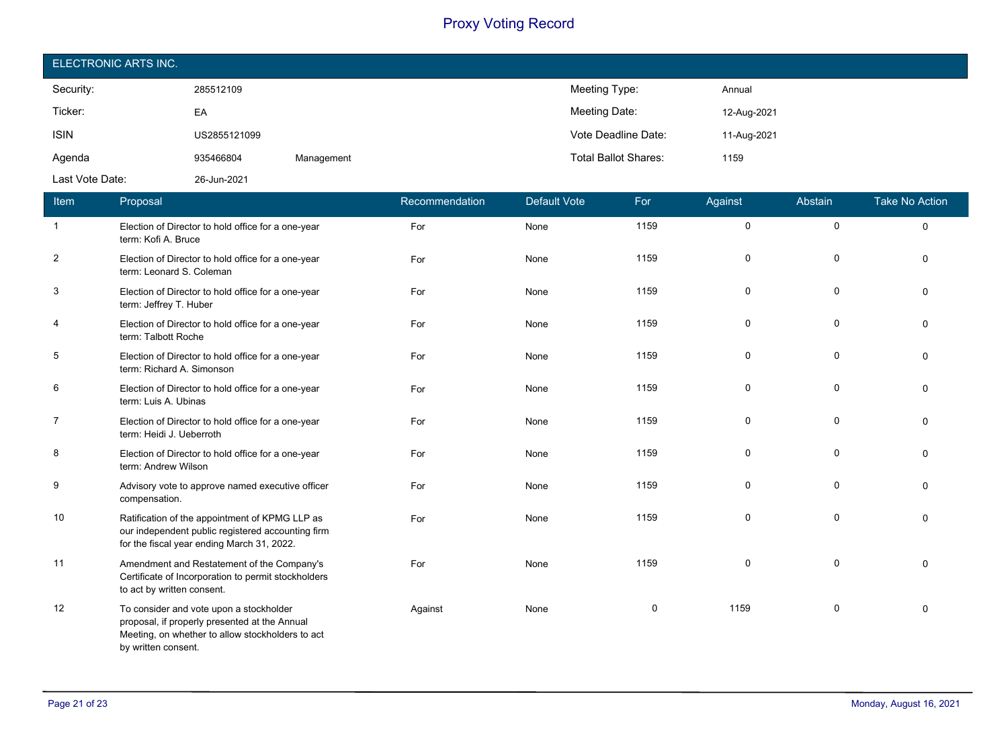| ELECTRONIC ARTS INC. |              |            |                             |             |  |  |
|----------------------|--------------|------------|-----------------------------|-------------|--|--|
| Security:            | 285512109    |            | Meeting Type:               | Annual      |  |  |
| Ticker:              | EA           |            | Meeting Date:               | 12-Aug-2021 |  |  |
| <b>ISIN</b>          | US2855121099 |            | Vote Deadline Date:         | 11-Aug-2021 |  |  |
| Agenda               | 935466804    | Management | <b>Total Ballot Shares:</b> | 1159        |  |  |
| Last Vote Date:      | 26-Jun-2021  |            |                             |             |  |  |

| Item                    | Proposal                                                                                                                                                            | Recommendation | <b>Default Vote</b> | For  | Against     | Abstain     | <b>Take No Action</b> |
|-------------------------|---------------------------------------------------------------------------------------------------------------------------------------------------------------------|----------------|---------------------|------|-------------|-------------|-----------------------|
| -1                      | Election of Director to hold office for a one-year<br>term: Kofi A. Bruce                                                                                           | For            | None                | 1159 | $\mathbf 0$ | $\mathbf 0$ | $\Omega$              |
| $\overline{\mathbf{c}}$ | Election of Director to hold office for a one-year<br>term: Leonard S. Coleman                                                                                      | For            | None                | 1159 | $\mathbf 0$ | $\mathbf 0$ | $\Omega$              |
| 3                       | Election of Director to hold office for a one-year<br>term: Jeffrey T. Huber                                                                                        | For            | None                | 1159 | 0           | 0           | $\Omega$              |
| 4                       | Election of Director to hold office for a one-year<br>term: Talbott Roche                                                                                           | For            | None                | 1159 | 0           | 0           | $\Omega$              |
| 5                       | Election of Director to hold office for a one-year<br>term: Richard A. Simonson                                                                                     | For            | None                | 1159 | 0           | 0           | $\Omega$              |
| 6                       | Election of Director to hold office for a one-year<br>term: Luis A. Ubinas                                                                                          | For            | None                | 1159 | $\mathbf 0$ | $\mathbf 0$ | $\Omega$              |
| $\overline{7}$          | Election of Director to hold office for a one-year<br>term: Heidi J. Ueberroth                                                                                      | For            | None                | 1159 | 0           | $\pmb{0}$   | $\Omega$              |
| 8                       | Election of Director to hold office for a one-year<br>term: Andrew Wilson                                                                                           | For            | None                | 1159 | $\mathbf 0$ | $\mathbf 0$ | $\Omega$              |
| 9                       | Advisory vote to approve named executive officer<br>compensation.                                                                                                   | For            | None                | 1159 | $\mathbf 0$ | 0           | $\Omega$              |
| 10                      | Ratification of the appointment of KPMG LLP as<br>our independent public registered accounting firm<br>for the fiscal year ending March 31, 2022.                   | For            | None                | 1159 | 0           | 0           | $\Omega$              |
| 11                      | Amendment and Restatement of the Company's<br>Certificate of Incorporation to permit stockholders<br>to act by written consent.                                     | For            | None                | 1159 | 0           | 0           | $\Omega$              |
| 12                      | To consider and vote upon a stockholder<br>proposal, if properly presented at the Annual<br>Meeting, on whether to allow stockholders to act<br>by written consent. | Against        | None                | 0    | 1159        | 0           | $\Omega$              |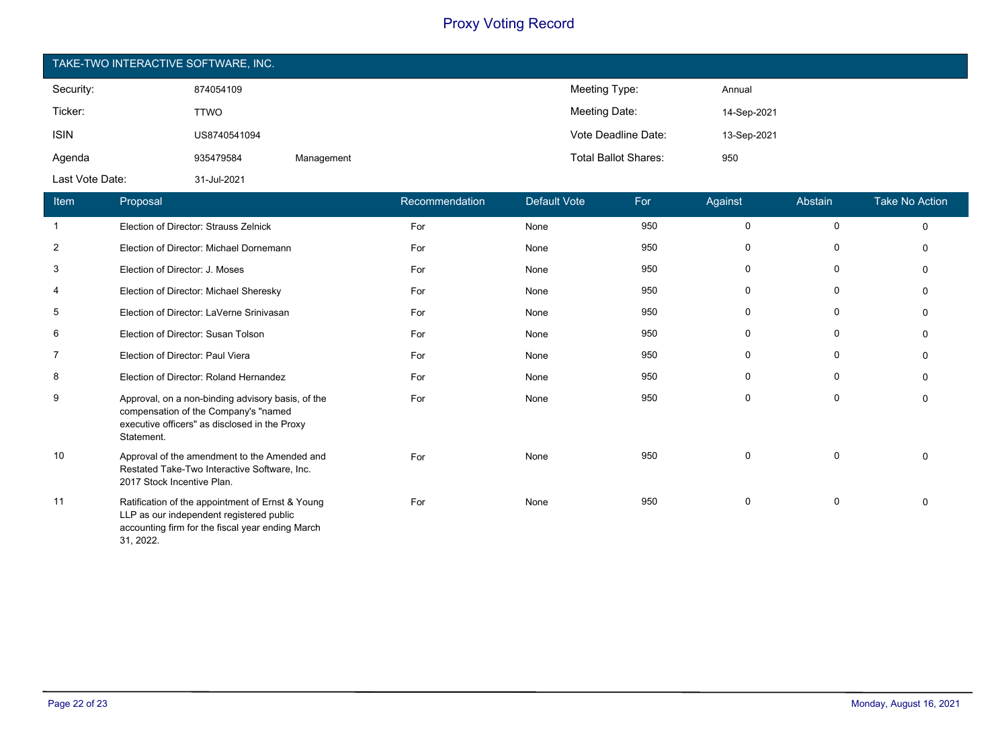| TAKE-TWO INTERACTIVE SOFTWARE, INC. |              |            |                             |             |  |  |
|-------------------------------------|--------------|------------|-----------------------------|-------------|--|--|
| Security:                           | 874054109    |            | Meeting Type:               | Annual      |  |  |
| Ticker:                             | TTWO         |            | Meeting Date:               | 14-Sep-2021 |  |  |
| <b>ISIN</b>                         | US8740541094 |            | Vote Deadline Date:         | 13-Sep-2021 |  |  |
| Agenda                              | 935479584    | Management | <b>Total Ballot Shares:</b> | 950         |  |  |
| Last Vote Date:                     | 31-Jul-2021  |            |                             |             |  |  |

| Item           | Proposal                                                                                                                                                      | Recommendation | Default Vote | For | Against     | Abstain     | <b>Take No Action</b> |
|----------------|---------------------------------------------------------------------------------------------------------------------------------------------------------------|----------------|--------------|-----|-------------|-------------|-----------------------|
| $\mathbf{1}$   | Election of Director: Strauss Zelnick                                                                                                                         | For            | None         | 950 | $\mathbf 0$ | $\mathbf 0$ | $\Omega$              |
| $\overline{2}$ | Election of Director: Michael Dornemann                                                                                                                       | For            | None         | 950 | 0           | 0           | $\Omega$              |
| 3              | Election of Director: J. Moses                                                                                                                                | For            | None         | 950 | 0           | $\mathbf 0$ | $\Omega$              |
| 4              | Election of Director: Michael Sheresky                                                                                                                        | For            | None         | 950 | $\mathbf 0$ | 0           | $\Omega$              |
| 5              | Election of Director: LaVerne Srinivasan                                                                                                                      | For            | None         | 950 | 0           | 0           | $\Omega$              |
| 6              | Election of Director: Susan Tolson                                                                                                                            | For            | None         | 950 | 0           | 0           | $\Omega$              |
| 7              | Election of Director: Paul Viera                                                                                                                              | For            | None         | 950 | 0           | 0           | $\Omega$              |
| 8              | Election of Director: Roland Hernandez                                                                                                                        | For            | None         | 950 | 0           | 0           | $\Omega$              |
| 9              | Approval, on a non-binding advisory basis, of the<br>compensation of the Company's "named<br>executive officers" as disclosed in the Proxy<br>Statement.      | For            | None         | 950 | $\mathbf 0$ | 0           | $\Omega$              |
| 10             | Approval of the amendment to the Amended and<br>Restated Take-Two Interactive Software, Inc.<br>2017 Stock Incentive Plan.                                    | For            | None         | 950 | 0           | $\mathbf 0$ | $\mathbf{0}$          |
| 11             | Ratification of the appointment of Ernst & Young<br>LLP as our independent registered public<br>accounting firm for the fiscal year ending March<br>31, 2022. | For            | None         | 950 | 0           | 0           | $\Omega$              |